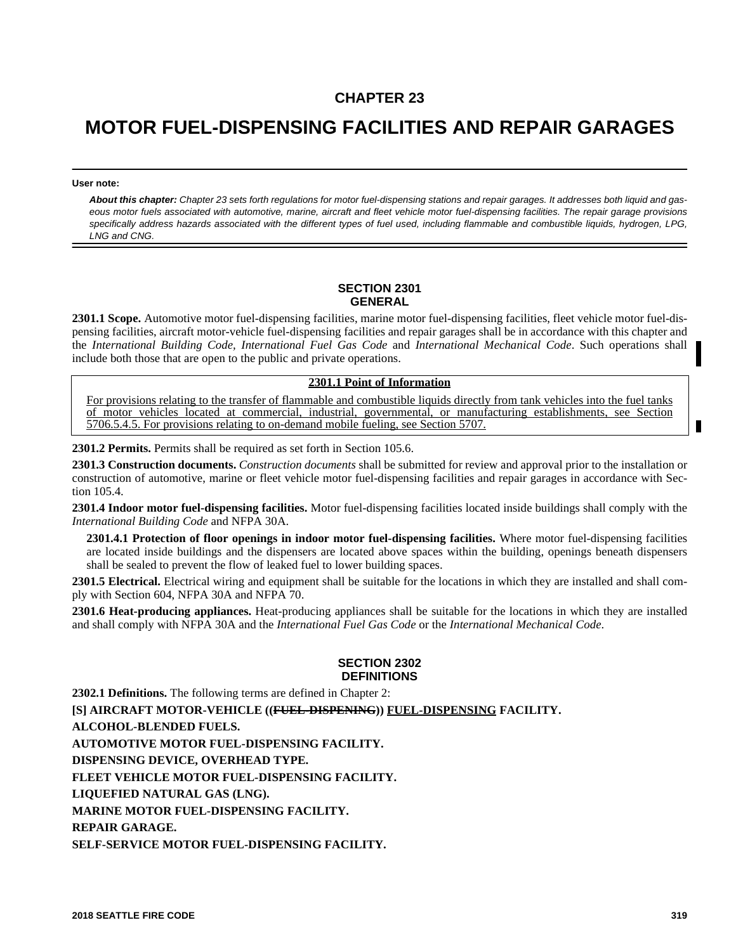# **CHAPTER 23**

# **MOTOR FUEL-DISPENSING FACILITIES AND REPAIR GARAGES**

**User note:**

*About this chapter: Chapter 23 sets forth regulations for motor fuel-dispensing stations and repair garages. It addresses both liquid and gaseous motor fuels associated with automotive, marine, aircraft and fleet vehicle motor fuel-dispensing facilities. The repair garage provisions specifically address hazards associated with the different types of fuel used, including flammable and combustible liquids, hydrogen, LPG, LNG and CNG.*

#### **SECTION 2301 GENERAL**

**2301.1 Scope.** Automotive motor fuel-dispensing facilities, marine motor fuel-dispensing facilities, fleet vehicle motor fuel-dispensing facilities, aircraft motor-vehicle fuel-dispensing facilities and repair garages shall be in accordance with this chapter and the *International Building Code, International Fuel Gas Code* and *International Mechanical Code*. Such operations shall include both those that are open to the public and private operations.

# **2301.1 Point of Information**

For provisions relating to the transfer of flammable and combustible liquids directly from tank vehicles into the fuel tanks of motor vehicles located at commercial, industrial, governmental, or manufacturing establishments, see Section 5706.5.4.5. For provisions relating to on-demand mobile fueling, see Section 5707.

**2301.2 Permits.** Permits shall be required as set forth in Section 105.6.

**2301.3 Construction documents.** *Construction documents* shall be submitted for review and approval prior to the installation or construction of automotive, marine or fleet vehicle motor fuel-dispensing facilities and repair garages in accordance with Section 105.4.

**2301.4 Indoor motor fuel-dispensing facilities.** Motor fuel-dispensing facilities located inside buildings shall comply with the *International Building Code* and NFPA 30A.

**2301.4.1 Protection of floor openings in indoor motor fuel-dispensing facilities.** Where motor fuel-dispensing facilities are located inside buildings and the dispensers are located above spaces within the building, openings beneath dispensers shall be sealed to prevent the flow of leaked fuel to lower building spaces.

**2301.5 Electrical.** Electrical wiring and equipment shall be suitable for the locations in which they are installed and shall comply with Section 604, NFPA 30A and NFPA 70.

**2301.6 Heat-producing appliances.** Heat-producing appliances shall be suitable for the locations in which they are installed and shall comply with NFPA 30A and the *International Fuel Gas Code* or the *International Mechanical Code*.

#### **SECTION 2302 DEFINITIONS**

**2302.1 Definitions.** The following terms are defined in Chapter 2:

**[S] AIRCRAFT MOTOR-VEHICLE ((FUEL-DISPENING)) FUEL-DISPENSING FACILITY.**

**ALCOHOL-BLENDED FUELS.**

**AUTOMOTIVE MOTOR FUEL-DISPENSING FACILITY. DISPENSING DEVICE, OVERHEAD TYPE.**

**FLEET VEHICLE MOTOR FUEL-DISPENSING FACILITY.**

**LIQUEFIED NATURAL GAS (LNG).**

**MARINE MOTOR FUEL-DISPENSING FACILITY.**

**REPAIR GARAGE.**

**SELF-SERVICE MOTOR FUEL-DISPENSING FACILITY.**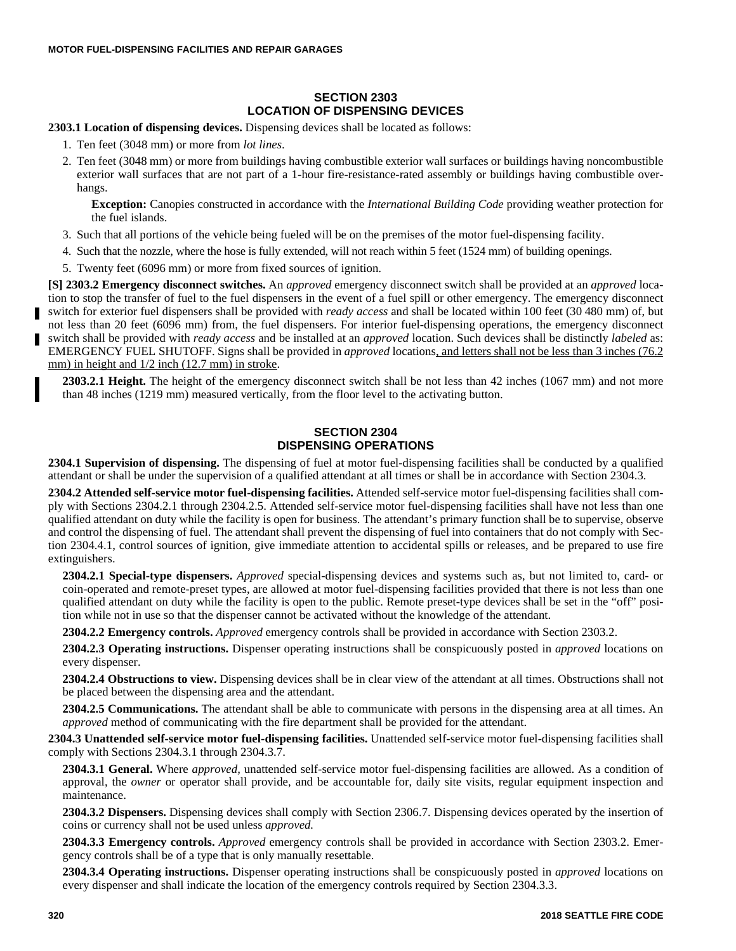# **SECTION 2303 LOCATION OF DISPENSING DEVICES**

**2303.1 Location of dispensing devices.** Dispensing devices shall be located as follows:

- 1. Ten feet (3048 mm) or more from *lot lines*.
- 2. Ten feet (3048 mm) or more from buildings having combustible exterior wall surfaces or buildings having noncombustible exterior wall surfaces that are not part of a 1-hour fire-resistance-rated assembly or buildings having combustible overhangs.

**Exception:** Canopies constructed in accordance with the *International Building Code* providing weather protection for the fuel islands.

- 3. Such that all portions of the vehicle being fueled will be on the premises of the motor fuel-dispensing facility.
- 4. Such that the nozzle, where the hose is fully extended, will not reach within 5 feet (1524 mm) of building openings.
- 5. Twenty feet (6096 mm) or more from fixed sources of ignition.

**[S] 2303.2 Emergency disconnect switches.** An *approved* emergency disconnect switch shall be provided at an *approved* location to stop the transfer of fuel to the fuel dispensers in the event of a fuel spill or other emergency. The emergency disconnect switch for exterior fuel dispensers shall be provided with *ready access* and shall be located within 100 feet (30 480 mm) of, but not less than 20 feet (6096 mm) from, the fuel dispensers. For interior fuel-dispensing operations, the emergency disconnect switch shall be provided with *ready access* and be installed at an *approved* location. Such devices shall be distinctly *labeled* as: EMERGENCY FUEL SHUTOFF. Signs shall be provided in *approved* locations, and letters shall not be less than 3 inches (76.2 mm) in height and  $1/2$  inch (12.7 mm) in stroke.

**2303.2.1 Height.** The height of the emergency disconnect switch shall be not less than 42 inches (1067 mm) and not more than 48 inches (1219 mm) measured vertically, from the floor level to the activating button.

#### **SECTION 2304 DISPENSING OPERATIONS**

**2304.1 Supervision of dispensing.** The dispensing of fuel at motor fuel-dispensing facilities shall be conducted by a qualified attendant or shall be under the supervision of a qualified attendant at all times or shall be in accordance with Section 2304.3.

**2304.2 Attended self-service motor fuel-dispensing facilities.** Attended self-service motor fuel-dispensing facilities shall comply with Sections 2304.2.1 through 2304.2.5. Attended self-service motor fuel-dispensing facilities shall have not less than one qualified attendant on duty while the facility is open for business. The attendant's primary function shall be to supervise, observe and control the dispensing of fuel. The attendant shall prevent the dispensing of fuel into containers that do not comply with Section 2304.4.1, control sources of ignition, give immediate attention to accidental spills or releases, and be prepared to use fire extinguishers.

**2304.2.1 Special-type dispensers.** *Approved* special-dispensing devices and systems such as, but not limited to, card- or coin-operated and remote-preset types, are allowed at motor fuel-dispensing facilities provided that there is not less than one qualified attendant on duty while the facility is open to the public. Remote preset-type devices shall be set in the "off" position while not in use so that the dispenser cannot be activated without the knowledge of the attendant.

**2304.2.2 Emergency controls.** *Approved* emergency controls shall be provided in accordance with Section 2303.2.

**2304.2.3 Operating instructions.** Dispenser operating instructions shall be conspicuously posted in *approved* locations on every dispenser.

**2304.2.4 Obstructions to view.** Dispensing devices shall be in clear view of the attendant at all times. Obstructions shall not be placed between the dispensing area and the attendant.

**2304.2.5 Communications.** The attendant shall be able to communicate with persons in the dispensing area at all times. An *approved* method of communicating with the fire department shall be provided for the attendant.

**2304.3 Unattended self-service motor fuel-dispensing facilities.** Unattended self-service motor fuel-dispensing facilities shall comply with Sections 2304.3.1 through 2304.3.7.

**2304.3.1 General.** Where *approved,* unattended self-service motor fuel-dispensing facilities are allowed. As a condition of approval, the *owner* or operator shall provide, and be accountable for, daily site visits, regular equipment inspection and maintenance.

**2304.3.2 Dispensers.** Dispensing devices shall comply with Section 2306.7. Dispensing devices operated by the insertion of coins or currency shall not be used unless *approved.*

**2304.3.3 Emergency controls.** *Approved* emergency controls shall be provided in accordance with Section 2303.2. Emergency controls shall be of a type that is only manually resettable.

**2304.3.4 Operating instructions.** Dispenser operating instructions shall be conspicuously posted in *approved* locations on every dispenser and shall indicate the location of the emergency controls required by Section 2304.3.3.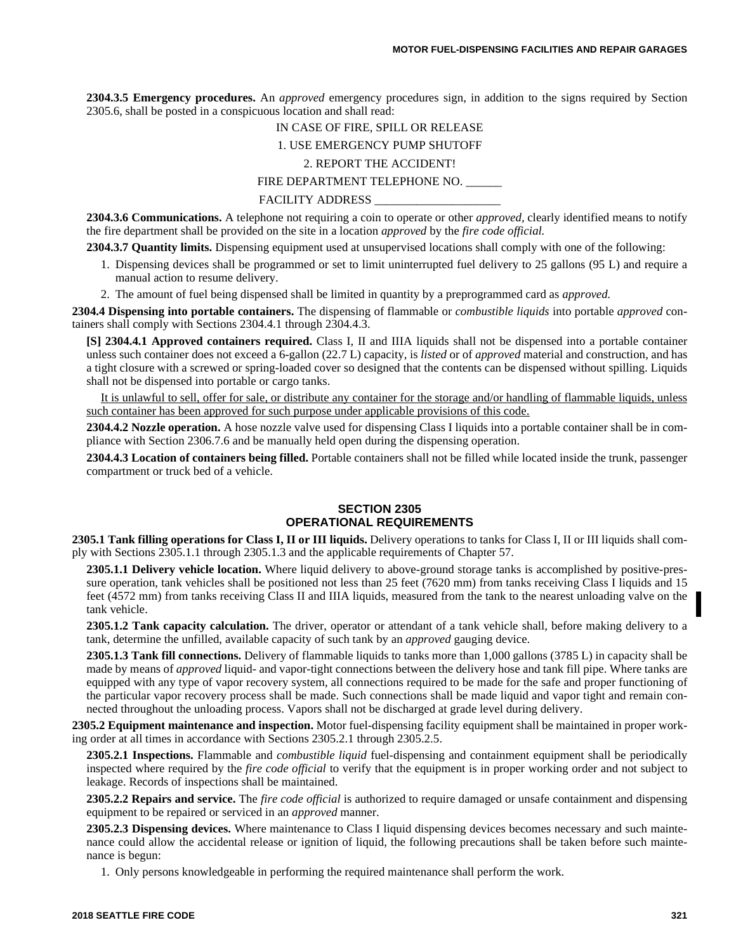**2304.3.5 Emergency procedures.** An *approved* emergency procedures sign, in addition to the signs required by Section 2305.6, shall be posted in a conspicuous location and shall read:

# IN CASE OF FIRE, SPILL OR RELEASE 1. USE EMERGENCY PUMP SHUTOFF 2. REPORT THE ACCIDENT! FIRE DEPARTMENT TELEPHONE NO. FACILITY ADDRESS

**2304.3.6 Communications.** A telephone not requiring a coin to operate or other *approved,* clearly identified means to notify the fire department shall be provided on the site in a location *approved* by the *fire code official.*

**2304.3.7 Quantity limits.** Dispensing equipment used at unsupervised locations shall comply with one of the following:

- 1. Dispensing devices shall be programmed or set to limit uninterrupted fuel delivery to 25 gallons (95 L) and require a manual action to resume delivery.
- 2. The amount of fuel being dispensed shall be limited in quantity by a preprogrammed card as *approved.*

**2304.4 Dispensing into portable containers.** The dispensing of flammable or *combustible liquids* into portable *approved* containers shall comply with Sections 2304.4.1 through 2304.4.3.

**[S] 2304.4.1 Approved containers required.** Class I, II and IIIA liquids shall not be dispensed into a portable container unless such container does not exceed a 6-gallon (22.7 L) capacity, is *listed* or of *approved* material and construction, and has a tight closure with a screwed or spring-loaded cover so designed that the contents can be dispensed without spilling. Liquids shall not be dispensed into portable or cargo tanks.

It is unlawful to sell, offer for sale, or distribute any container for the storage and/or handling of flammable liquids, unless such container has been approved for such purpose under applicable provisions of this code.

**2304.4.2 Nozzle operation.** A hose nozzle valve used for dispensing Class I liquids into a portable container shall be in compliance with Section 2306.7.6 and be manually held open during the dispensing operation.

**2304.4.3 Location of containers being filled.** Portable containers shall not be filled while located inside the trunk, passenger compartment or truck bed of a vehicle.

### **SECTION 2305 OPERATIONAL REQUIREMENTS**

**2305.1 Tank filling operations for Class I, II or III liquids.** Delivery operations to tanks for Class I, II or III liquids shall comply with Sections 2305.1.1 through 2305.1.3 and the applicable requirements of Chapter 57.

**2305.1.1 Delivery vehicle location.** Where liquid delivery to above-ground storage tanks is accomplished by positive-pressure operation, tank vehicles shall be positioned not less than 25 feet (7620 mm) from tanks receiving Class I liquids and 15 feet (4572 mm) from tanks receiving Class II and IIIA liquids, measured from the tank to the nearest unloading valve on the tank vehicle.

**2305.1.2 Tank capacity calculation.** The driver, operator or attendant of a tank vehicle shall, before making delivery to a tank, determine the unfilled, available capacity of such tank by an *approved* gauging device.

**2305.1.3 Tank fill connections.** Delivery of flammable liquids to tanks more than 1,000 gallons (3785 L) in capacity shall be made by means of *approved* liquid- and vapor-tight connections between the delivery hose and tank fill pipe. Where tanks are equipped with any type of vapor recovery system, all connections required to be made for the safe and proper functioning of the particular vapor recovery process shall be made. Such connections shall be made liquid and vapor tight and remain connected throughout the unloading process. Vapors shall not be discharged at grade level during delivery.

**2305.2 Equipment maintenance and inspection.** Motor fuel-dispensing facility equipment shall be maintained in proper working order at all times in accordance with Sections 2305.2.1 through 2305.2.5.

**2305.2.1 Inspections.** Flammable and *combustible liquid* fuel-dispensing and containment equipment shall be periodically inspected where required by the *fire code official* to verify that the equipment is in proper working order and not subject to leakage. Records of inspections shall be maintained.

**2305.2.2 Repairs and service.** The *fire code official* is authorized to require damaged or unsafe containment and dispensing equipment to be repaired or serviced in an *approved* manner.

**2305.2.3 Dispensing devices.** Where maintenance to Class I liquid dispensing devices becomes necessary and such maintenance could allow the accidental release or ignition of liquid, the following precautions shall be taken before such maintenance is begun:

1. Only persons knowledgeable in performing the required maintenance shall perform the work.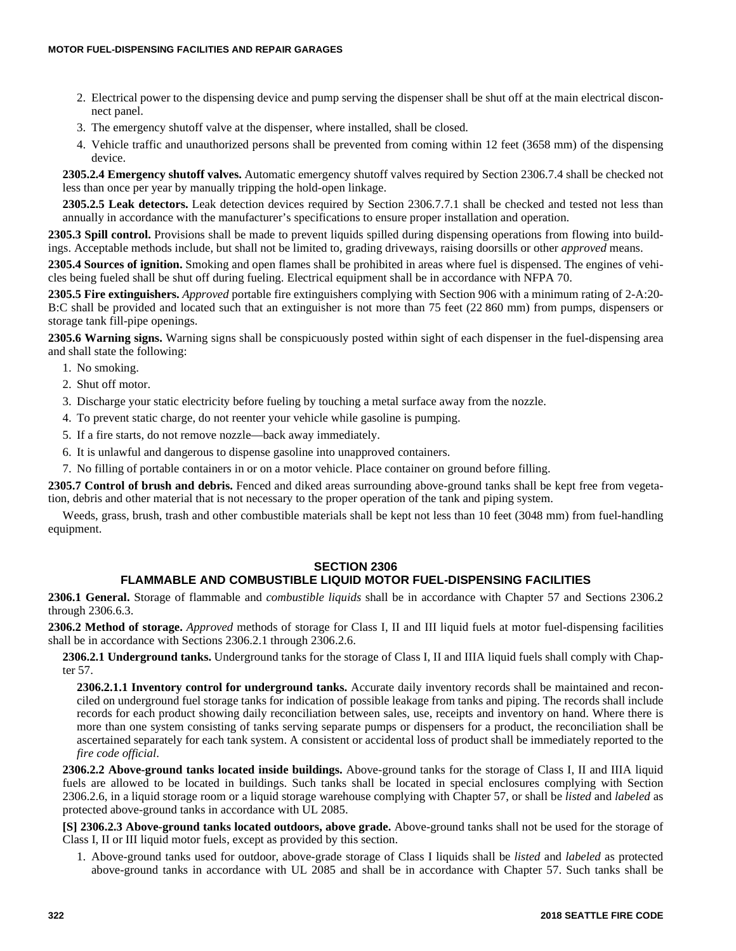- 2. Electrical power to the dispensing device and pump serving the dispenser shall be shut off at the main electrical disconnect panel.
- 3. The emergency shutoff valve at the dispenser, where installed, shall be closed.
- 4. Vehicle traffic and unauthorized persons shall be prevented from coming within 12 feet (3658 mm) of the dispensing device.

**2305.2.4 Emergency shutoff valves.** Automatic emergency shutoff valves required by Section 2306.7.4 shall be checked not less than once per year by manually tripping the hold-open linkage.

**2305.2.5 Leak detectors.** Leak detection devices required by Section 2306.7.7.1 shall be checked and tested not less than annually in accordance with the manufacturer's specifications to ensure proper installation and operation.

**2305.3 Spill control.** Provisions shall be made to prevent liquids spilled during dispensing operations from flowing into buildings. Acceptable methods include, but shall not be limited to, grading driveways, raising doorsills or other *approved* means.

**2305.4 Sources of ignition.** Smoking and open flames shall be prohibited in areas where fuel is dispensed. The engines of vehicles being fueled shall be shut off during fueling. Electrical equipment shall be in accordance with NFPA 70.

**2305.5 Fire extinguishers.** *Approved* portable fire extinguishers complying with Section 906 with a minimum rating of 2-A:20- B:C shall be provided and located such that an extinguisher is not more than 75 feet (22 860 mm) from pumps, dispensers or storage tank fill-pipe openings.

**2305.6 Warning signs.** Warning signs shall be conspicuously posted within sight of each dispenser in the fuel-dispensing area and shall state the following:

- 1. No smoking.
- 2. Shut off motor.
- 3. Discharge your static electricity before fueling by touching a metal surface away from the nozzle.
- 4. To prevent static charge, do not reenter your vehicle while gasoline is pumping.
- 5. If a fire starts, do not remove nozzle—back away immediately.
- 6. It is unlawful and dangerous to dispense gasoline into unapproved containers.
- 7. No filling of portable containers in or on a motor vehicle. Place container on ground before filling.

**2305.7 Control of brush and debris.** Fenced and diked areas surrounding above-ground tanks shall be kept free from vegetation, debris and other material that is not necessary to the proper operation of the tank and piping system.

Weeds, grass, brush, trash and other combustible materials shall be kept not less than 10 feet (3048 mm) from fuel-handling equipment.

#### **SECTION 2306**

# **FLAMMABLE AND COMBUSTIBLE LIQUID MOTOR FUEL-DISPENSING FACILITIES**

**2306.1 General.** Storage of flammable and *combustible liquids* shall be in accordance with Chapter 57 and Sections 2306.2 through 2306.6.3.

**2306.2 Method of storage.** *Approved* methods of storage for Class I, II and III liquid fuels at motor fuel-dispensing facilities shall be in accordance with Sections 2306.2.1 through 2306.2.6.

**2306.2.1 Underground tanks.** Underground tanks for the storage of Class I, II and IIIA liquid fuels shall comply with Chapter 57.

**2306.2.1.1 Inventory control for underground tanks.** Accurate daily inventory records shall be maintained and reconciled on underground fuel storage tanks for indication of possible leakage from tanks and piping. The records shall include records for each product showing daily reconciliation between sales, use, receipts and inventory on hand. Where there is more than one system consisting of tanks serving separate pumps or dispensers for a product, the reconciliation shall be ascertained separately for each tank system. A consistent or accidental loss of product shall be immediately reported to the *fire code official*.

**2306.2.2 Above-ground tanks located inside buildings.** Above-ground tanks for the storage of Class I, II and IIIA liquid fuels are allowed to be located in buildings. Such tanks shall be located in special enclosures complying with Section 2306.2.6, in a liquid storage room or a liquid storage warehouse complying with Chapter 57, or shall be *listed* and *labeled* as protected above-ground tanks in accordance with UL 2085.

**[S] 2306.2.3 Above-ground tanks located outdoors, above grade.** Above-ground tanks shall not be used for the storage of Class I, II or III liquid motor fuels, except as provided by this section.

1. Above-ground tanks used for outdoor, above-grade storage of Class I liquids shall be *listed* and *labeled* as protected above-ground tanks in accordance with UL 2085 and shall be in accordance with Chapter 57. Such tanks shall be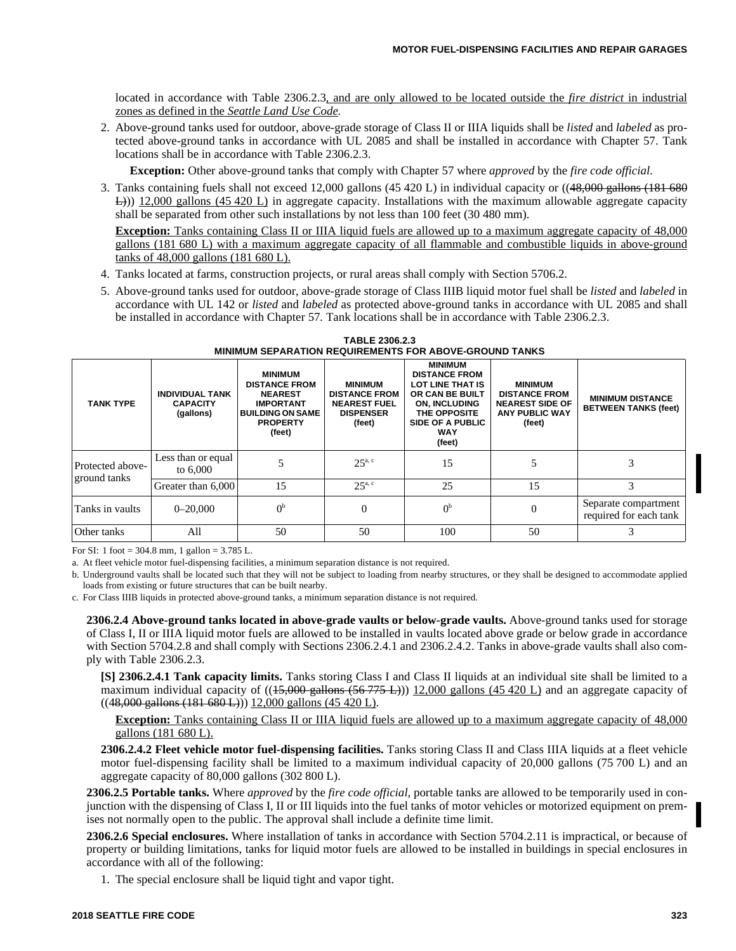located in accordance with Table 2306.2.3, and are only allowed to be located outside the *fire district* in industrial zones as defined in the *Seattle Land Use Code.*

2. Above-ground tanks used for outdoor, above-grade storage of Class II or IIIA liquids shall be *listed* and *labeled* as protected above-ground tanks in accordance with UL 2085 and shall be installed in accordance with Chapter 57. Tank locations shall be in accordance with Table 2306.2.3.

**Exception:** Other above-ground tanks that comply with Chapter 57 where *approved* by the *fire code official*.

3. Tanks containing fuels shall not exceed 12,000 gallons (45 420 L) in individual capacity or ((48,000 gallons (181 680  $\pm$ ))) 12,000 gallons (45 420 L) in aggregate capacity. Installations with the maximum allowable aggregate capacity shall be separated from other such installations by not less than 100 feet (30 480 mm).

**Exception:** Tanks containing Class II or IIIA liquid fuels are allowed up to a maximum aggregate capacity of 48,000 gallons (181 680 L) with a maximum aggregate capacity of all flammable and combustible liquids in above-ground tanks of 48,000 gallons (181 680 L).

- 4. Tanks located at farms, construction projects, or rural areas shall comply with Section 5706.2.
- 5. Above-ground tanks used for outdoor, above-grade storage of Class IIIB liquid motor fuel shall be *listed* and *labeled* in accordance with UL 142 or *listed* and *labeled* as protected above-ground tanks in accordance with UL 2085 and shall be installed in accordance with Chapter 57*.* Tank locations shall be in accordance with Table 2306.2.3.

| <b>TANK TYPE</b>                 | <b>INDIVIDUAL TANK</b><br><b>CAPACITY</b><br>(gallons) | <b>MINIMUM</b><br><b>DISTANCE FROM</b><br><b>NEAREST</b><br><b>IMPORTANT</b><br><b>BUILDING ON SAME</b><br><b>PROPERTY</b><br>(feet) | <b>MINIMUM</b><br><b>DISTANCE FROM</b><br><b>NEAREST FUEL</b><br><b>DISPENSER</b><br>(feet) | <b>MINIMUM</b><br><b>DISTANCE FROM</b><br><b>LOT LINE THAT IS</b><br>OR CAN BE BUILT<br><b>ON. INCLUDING</b><br><b>THE OPPOSITE</b><br><b>SIDE OF A PUBLIC</b><br><b>WAY</b><br>(feet) | <b>MINIMUM</b><br><b>DISTANCE FROM</b><br><b>NEAREST SIDE OF</b><br><b>ANY PUBLIC WAY</b><br>(feet) | <b>MINIMUM DISTANCE</b><br><b>BETWEEN TANKS (feet)</b> |
|----------------------------------|--------------------------------------------------------|--------------------------------------------------------------------------------------------------------------------------------------|---------------------------------------------------------------------------------------------|----------------------------------------------------------------------------------------------------------------------------------------------------------------------------------------|-----------------------------------------------------------------------------------------------------|--------------------------------------------------------|
| Protected above-<br>ground tanks | Less than or equal<br>to 6,000                         |                                                                                                                                      | $2.5^{a, c}$                                                                                | 15                                                                                                                                                                                     |                                                                                                     |                                                        |
|                                  | Greater than 6,000                                     | 15                                                                                                                                   | $2.5^{a, c}$                                                                                | 25                                                                                                                                                                                     | 15                                                                                                  | 3                                                      |
| Tanks in vaults                  | $0 - 20,000$                                           | 0 <sup>b</sup>                                                                                                                       |                                                                                             | 0 <sup>b</sup>                                                                                                                                                                         | 0                                                                                                   | Separate compartment<br>required for each tank         |
| Other tanks                      | All                                                    | 50                                                                                                                                   | 50                                                                                          | 100                                                                                                                                                                                    | 50                                                                                                  |                                                        |

**TABLE 2306.2.3 MINIMUM SEPARATION REQUIREMENTS FOR ABOVE-GROUND TANKS**

For SI: 1 foot =  $304.8$  mm, 1 gallon =  $3.785$  L.

a. At fleet vehicle motor fuel-dispensing facilities, a minimum separation distance is not required.

b. Underground vaults shall be located such that they will not be subject to loading from nearby structures, or they shall be designed to accommodate applied loads from existing or future structures that can be built nearby.

c. For Class IIIB liquids in protected above-ground tanks, a minimum separation distance is not required.

**2306.2.4 Above-ground tanks located in above-grade vaults or below-grade vaults.** Above-ground tanks used for storage of Class I, II or IIIA liquid motor fuels are allowed to be installed in vaults located above grade or below grade in accordance with Section 5704.2.8 and shall comply with Sections 2306.2.4.1 and 2306.2.4.2. Tanks in above-grade vaults shall also comply with Table 2306.2.3.

**[S] 2306.2.4.1 Tank capacity limits.** Tanks storing Class I and Class II liquids at an individual site shall be limited to a maximum individual capacity of  $((15,000 \text{ gallons } (56 \text{ 775 L})))$  12,000 gallons (45 420 L) and an aggregate capacity of  $((48,000 \text{ gallons} (181 680 \text{ L})))$  12,000 gallons (45 420 L).

**Exception:** Tanks containing Class II or IIIA liquid fuels are allowed up to a maximum aggregate capacity of 48,000 gallons (181 680 L).

**2306.2.4.2 Fleet vehicle motor fuel-dispensing facilities.** Tanks storing Class II and Class IIIA liquids at a fleet vehicle motor fuel-dispensing facility shall be limited to a maximum individual capacity of 20,000 gallons (75 700 L) and an aggregate capacity of 80,000 gallons (302 800 L).

**2306.2.5 Portable tanks.** Where *approved* by the *fire code official*, portable tanks are allowed to be temporarily used in conjunction with the dispensing of Class I, II or III liquids into the fuel tanks of motor vehicles or motorized equipment on premises not normally open to the public. The approval shall include a definite time limit.

**2306.2.6 Special enclosures.** Where installation of tanks in accordance with Section 5704.2.11 is impractical, or because of property or building limitations, tanks for liquid motor fuels are allowed to be installed in buildings in special enclosures in accordance with all of the following:

1. The special enclosure shall be liquid tight and vapor tight.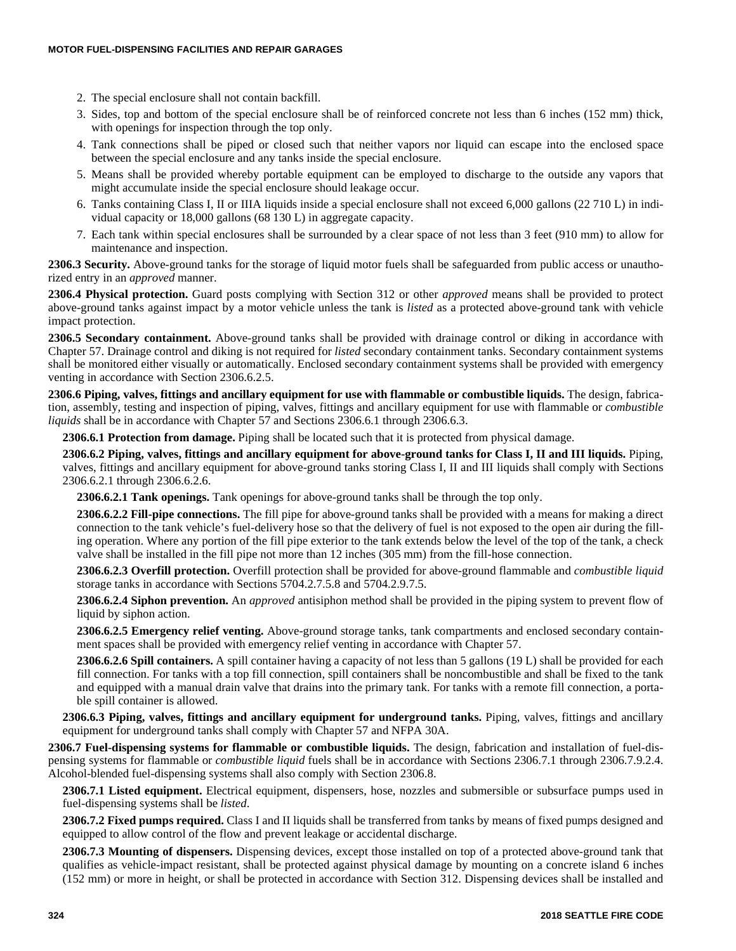- 2. The special enclosure shall not contain backfill.
- 3. Sides, top and bottom of the special enclosure shall be of reinforced concrete not less than 6 inches (152 mm) thick, with openings for inspection through the top only.
- 4. Tank connections shall be piped or closed such that neither vapors nor liquid can escape into the enclosed space between the special enclosure and any tanks inside the special enclosure.
- 5. Means shall be provided whereby portable equipment can be employed to discharge to the outside any vapors that might accumulate inside the special enclosure should leakage occur.
- 6. Tanks containing Class I, II or IIIA liquids inside a special enclosure shall not exceed 6,000 gallons (22 710 L) in individual capacity or 18,000 gallons (68 130 L) in aggregate capacity.
- 7. Each tank within special enclosures shall be surrounded by a clear space of not less than 3 feet (910 mm) to allow for maintenance and inspection.

**2306.3 Security.** Above-ground tanks for the storage of liquid motor fuels shall be safeguarded from public access or unauthorized entry in an *approved* manner.

**2306.4 Physical protection.** Guard posts complying with Section 312 or other *approved* means shall be provided to protect above-ground tanks against impact by a motor vehicle unless the tank is *listed* as a protected above-ground tank with vehicle impact protection.

**2306.5 Secondary containment.** Above-ground tanks shall be provided with drainage control or diking in accordance with Chapter 57. Drainage control and diking is not required for *listed* secondary containment tanks. Secondary containment systems shall be monitored either visually or automatically. Enclosed secondary containment systems shall be provided with emergency venting in accordance with Section 2306.6.2.5.

**2306.6 Piping, valves, fittings and ancillary equipment for use with flammable or combustible liquids.** The design, fabrication, assembly, testing and inspection of piping, valves, fittings and ancillary equipment for use with flammable or *combustible liquids* shall be in accordance with Chapter 57 and Sections 2306.6.1 through 2306.6.3.

**2306.6.1 Protection from damage.** Piping shall be located such that it is protected from physical damage.

**2306.6.2 Piping, valves, fittings and ancillary equipment for above-ground tanks for Class I, II and III liquids.** Piping, valves, fittings and ancillary equipment for above-ground tanks storing Class I, II and III liquids shall comply with Sections 2306.6.2.1 through 2306.6.2.6.

**2306.6.2.1 Tank openings.** Tank openings for above-ground tanks shall be through the top only.

**2306.6.2.2 Fill-pipe connections.** The fill pipe for above-ground tanks shall be provided with a means for making a direct connection to the tank vehicle's fuel-delivery hose so that the delivery of fuel is not exposed to the open air during the filling operation. Where any portion of the fill pipe exterior to the tank extends below the level of the top of the tank, a check valve shall be installed in the fill pipe not more than 12 inches (305 mm) from the fill-hose connection.

**2306.6.2.3 Overfill protection.** Overfill protection shall be provided for above-ground flammable and *combustible liquid* storage tanks in accordance with Sections 5704.2.7.5.8 and 5704.2.9.7.5.

**2306.6.2.4 Siphon prevention.** An *approved* antisiphon method shall be provided in the piping system to prevent flow of liquid by siphon action.

**2306.6.2.5 Emergency relief venting.** Above-ground storage tanks, tank compartments and enclosed secondary containment spaces shall be provided with emergency relief venting in accordance with Chapter 57.

**2306.6.2.6 Spill containers.** A spill container having a capacity of not less than 5 gallons (19 L) shall be provided for each fill connection. For tanks with a top fill connection, spill containers shall be noncombustible and shall be fixed to the tank and equipped with a manual drain valve that drains into the primary tank. For tanks with a remote fill connection, a portable spill container is allowed.

**2306.6.3 Piping, valves, fittings and ancillary equipment for underground tanks.** Piping, valves, fittings and ancillary equipment for underground tanks shall comply with Chapter 57 and NFPA 30A.

**2306.7 Fuel-dispensing systems for flammable or combustible liquids.** The design, fabrication and installation of fuel-dispensing systems for flammable or *combustible liquid* fuels shall be in accordance with Sections 2306.7.1 through 2306.7.9.2.4. Alcohol-blended fuel-dispensing systems shall also comply with Section 2306.8.

**2306.7.1 Listed equipment.** Electrical equipment, dispensers, hose, nozzles and submersible or subsurface pumps used in fuel-dispensing systems shall be *listed*.

**2306.7.2 Fixed pumps required.** Class I and II liquids shall be transferred from tanks by means of fixed pumps designed and equipped to allow control of the flow and prevent leakage or accidental discharge.

**2306.7.3 Mounting of dispensers.** Dispensing devices, except those installed on top of a protected above-ground tank that qualifies as vehicle-impact resistant, shall be protected against physical damage by mounting on a concrete island 6 inches (152 mm) or more in height, or shall be protected in accordance with Section 312. Dispensing devices shall be installed and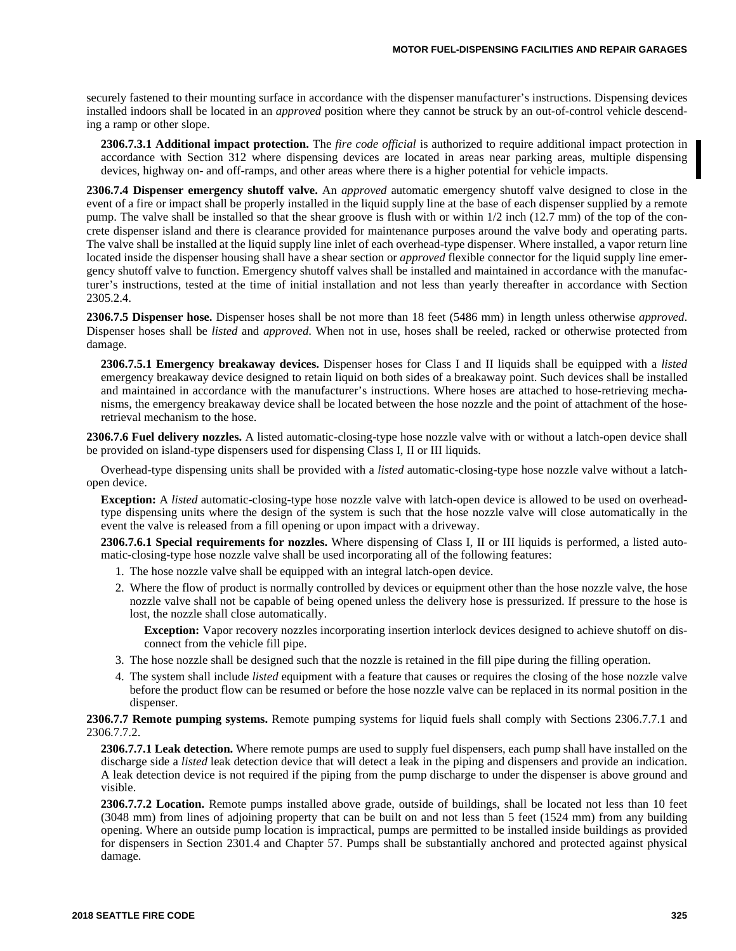securely fastened to their mounting surface in accordance with the dispenser manufacturer's instructions. Dispensing devices installed indoors shall be located in an *approved* position where they cannot be struck by an out-of-control vehicle descending a ramp or other slope.

**2306.7.3.1 Additional impact protection.** The *fire code official* is authorized to require additional impact protection in accordance with Section 312 where dispensing devices are located in areas near parking areas, multiple dispensing devices, highway on- and off-ramps, and other areas where there is a higher potential for vehicle impacts.

**2306.7.4 Dispenser emergency shutoff valve.** An *approved* automatic emergency shutoff valve designed to close in the event of a fire or impact shall be properly installed in the liquid supply line at the base of each dispenser supplied by a remote pump. The valve shall be installed so that the shear groove is flush with or within 1/2 inch (12.7 mm) of the top of the concrete dispenser island and there is clearance provided for maintenance purposes around the valve body and operating parts. The valve shall be installed at the liquid supply line inlet of each overhead-type dispenser. Where installed, a vapor return line located inside the dispenser housing shall have a shear section or *approved* flexible connector for the liquid supply line emergency shutoff valve to function. Emergency shutoff valves shall be installed and maintained in accordance with the manufacturer's instructions, tested at the time of initial installation and not less than yearly thereafter in accordance with Section 2305.2.4.

**2306.7.5 Dispenser hose.** Dispenser hoses shall be not more than 18 feet (5486 mm) in length unless otherwise *approved*. Dispenser hoses shall be *listed* and *approved*. When not in use, hoses shall be reeled, racked or otherwise protected from damage.

**2306.7.5.1 Emergency breakaway devices.** Dispenser hoses for Class I and II liquids shall be equipped with a *listed* emergency breakaway device designed to retain liquid on both sides of a breakaway point. Such devices shall be installed and maintained in accordance with the manufacturer's instructions. Where hoses are attached to hose-retrieving mechanisms, the emergency breakaway device shall be located between the hose nozzle and the point of attachment of the hoseretrieval mechanism to the hose.

**2306.7.6 Fuel delivery nozzles.** A listed automatic-closing-type hose nozzle valve with or without a latch-open device shall be provided on island-type dispensers used for dispensing Class I, II or III liquids.

Overhead-type dispensing units shall be provided with a *listed* automatic-closing-type hose nozzle valve without a latchopen device.

**Exception:** A *listed* automatic-closing-type hose nozzle valve with latch-open device is allowed to be used on overheadtype dispensing units where the design of the system is such that the hose nozzle valve will close automatically in the event the valve is released from a fill opening or upon impact with a driveway.

**2306.7.6.1 Special requirements for nozzles.** Where dispensing of Class I, II or III liquids is performed, a listed automatic-closing-type hose nozzle valve shall be used incorporating all of the following features:

- 1. The hose nozzle valve shall be equipped with an integral latch-open device.
- 2. Where the flow of product is normally controlled by devices or equipment other than the hose nozzle valve, the hose nozzle valve shall not be capable of being opened unless the delivery hose is pressurized. If pressure to the hose is lost, the nozzle shall close automatically.

**Exception:** Vapor recovery nozzles incorporating insertion interlock devices designed to achieve shutoff on disconnect from the vehicle fill pipe.

- 3. The hose nozzle shall be designed such that the nozzle is retained in the fill pipe during the filling operation.
- 4. The system shall include *listed* equipment with a feature that causes or requires the closing of the hose nozzle valve before the product flow can be resumed or before the hose nozzle valve can be replaced in its normal position in the dispenser.

#### **2306.7.7 Remote pumping systems.** Remote pumping systems for liquid fuels shall comply with Sections 2306.7.7.1 and 2306.7.7.2.

**2306.7.7.1 Leak detection.** Where remote pumps are used to supply fuel dispensers, each pump shall have installed on the discharge side a *listed* leak detection device that will detect a leak in the piping and dispensers and provide an indication. A leak detection device is not required if the piping from the pump discharge to under the dispenser is above ground and visible.

**2306.7.7.2 Location.** Remote pumps installed above grade, outside of buildings, shall be located not less than 10 feet (3048 mm) from lines of adjoining property that can be built on and not less than 5 feet (1524 mm) from any building opening. Where an outside pump location is impractical, pumps are permitted to be installed inside buildings as provided for dispensers in Section 2301.4 and Chapter 57. Pumps shall be substantially anchored and protected against physical damage.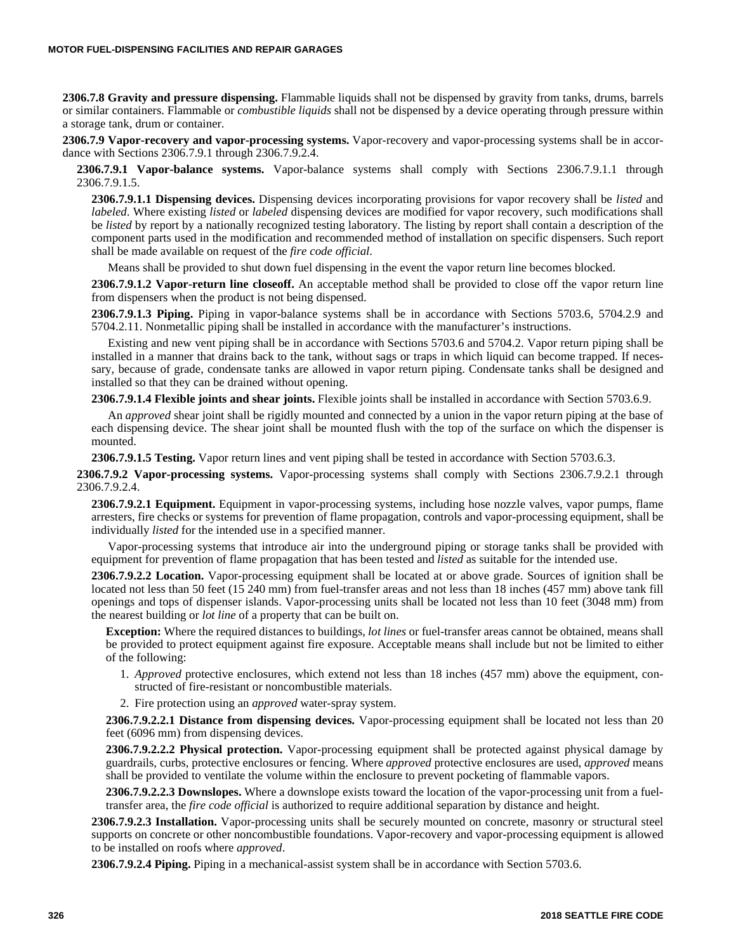**2306.7.8 Gravity and pressure dispensing.** Flammable liquids shall not be dispensed by gravity from tanks, drums, barrels or similar containers. Flammable or *combustible liquids* shall not be dispensed by a device operating through pressure within a storage tank, drum or container.

**2306.7.9 Vapor-recovery and vapor-processing systems.** Vapor-recovery and vapor-processing systems shall be in accordance with Sections 2306.7.9.1 through 2306.7.9.2.4.

**2306.7.9.1 Vapor-balance systems.** Vapor-balance systems shall comply with Sections 2306.7.9.1.1 through 2306.7.9.1.5.

**2306.7.9.1.1 Dispensing devices.** Dispensing devices incorporating provisions for vapor recovery shall be *listed* and *labeled*. Where existing *listed* or *labeled* dispensing devices are modified for vapor recovery, such modifications shall be *listed* by report by a nationally recognized testing laboratory. The listing by report shall contain a description of the component parts used in the modification and recommended method of installation on specific dispensers. Such report shall be made available on request of the *fire code official*.

Means shall be provided to shut down fuel dispensing in the event the vapor return line becomes blocked.

**2306.7.9.1.2 Vapor-return line closeoff.** An acceptable method shall be provided to close off the vapor return line from dispensers when the product is not being dispensed.

**2306.7.9.1.3 Piping.** Piping in vapor-balance systems shall be in accordance with Sections 5703.6, 5704.2.9 and 5704.2.11. Nonmetallic piping shall be installed in accordance with the manufacturer's instructions.

Existing and new vent piping shall be in accordance with Sections 5703.6 and 5704.2. Vapor return piping shall be installed in a manner that drains back to the tank, without sags or traps in which liquid can become trapped. If necessary, because of grade, condensate tanks are allowed in vapor return piping. Condensate tanks shall be designed and installed so that they can be drained without opening.

**2306.7.9.1.4 Flexible joints and shear joints.** Flexible joints shall be installed in accordance with Section 5703.6.9.

An *approved* shear joint shall be rigidly mounted and connected by a union in the vapor return piping at the base of each dispensing device. The shear joint shall be mounted flush with the top of the surface on which the dispenser is mounted.

**2306.7.9.1.5 Testing.** Vapor return lines and vent piping shall be tested in accordance with Section 5703.6.3.

**2306.7.9.2 Vapor-processing systems.** Vapor-processing systems shall comply with Sections 2306.7.9.2.1 through 2306.7.9.2.4.

**2306.7.9.2.1 Equipment.** Equipment in vapor-processing systems, including hose nozzle valves, vapor pumps, flame arresters, fire checks or systems for prevention of flame propagation, controls and vapor-processing equipment, shall be individually *listed* for the intended use in a specified manner.

Vapor-processing systems that introduce air into the underground piping or storage tanks shall be provided with equipment for prevention of flame propagation that has been tested and *listed* as suitable for the intended use.

**2306.7.9.2.2 Location.** Vapor-processing equipment shall be located at or above grade. Sources of ignition shall be located not less than 50 feet (15 240 mm) from fuel-transfer areas and not less than 18 inches (457 mm) above tank fill openings and tops of dispenser islands. Vapor-processing units shall be located not less than 10 feet (3048 mm) from the nearest building or *lot line* of a property that can be built on.

**Exception:** Where the required distances to buildings, *lot lines* or fuel-transfer areas cannot be obtained, means shall be provided to protect equipment against fire exposure. Acceptable means shall include but not be limited to either of the following:

- 1. *Approved* protective enclosures, which extend not less than 18 inches (457 mm) above the equipment, constructed of fire-resistant or noncombustible materials.
- 2. Fire protection using an *approved* water-spray system.

**2306.7.9.2.2.1 Distance from dispensing devices.** Vapor-processing equipment shall be located not less than 20 feet (6096 mm) from dispensing devices.

**2306.7.9.2.2.2 Physical protection.** Vapor-processing equipment shall be protected against physical damage by guardrails, curbs, protective enclosures or fencing. Where *approved* protective enclosures are used, *approved* means shall be provided to ventilate the volume within the enclosure to prevent pocketing of flammable vapors.

**2306.7.9.2.2.3 Downslopes.** Where a downslope exists toward the location of the vapor-processing unit from a fueltransfer area, the *fire code official* is authorized to require additional separation by distance and height.

**2306.7.9.2.3 Installation.** Vapor-processing units shall be securely mounted on concrete, masonry or structural steel supports on concrete or other noncombustible foundations. Vapor-recovery and vapor-processing equipment is allowed to be installed on roofs where *approved*.

**2306.7.9.2.4 Piping.** Piping in a mechanical-assist system shall be in accordance with Section 5703.6.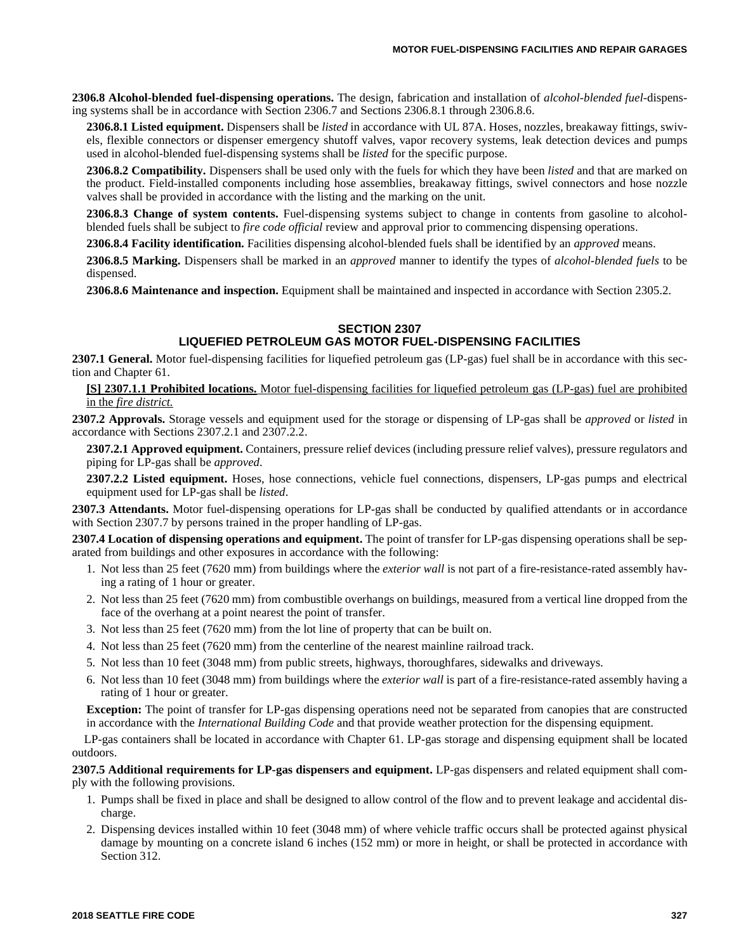**2306.8 Alcohol-blended fuel-dispensing operations.** The design, fabrication and installation of *alcohol-blended fuel*-dispensing systems shall be in accordance with Section 2306.7 and Sections 2306.8.1 through 2306.8.6.

**2306.8.1 Listed equipment.** Dispensers shall be *listed* in accordance with UL 87A. Hoses, nozzles, breakaway fittings, swivels, flexible connectors or dispenser emergency shutoff valves, vapor recovery systems, leak detection devices and pumps used in alcohol-blended fuel-dispensing systems shall be *listed* for the specific purpose.

**2306.8.2 Compatibility.** Dispensers shall be used only with the fuels for which they have been *listed* and that are marked on the product. Field-installed components including hose assemblies, breakaway fittings, swivel connectors and hose nozzle valves shall be provided in accordance with the listing and the marking on the unit.

**2306.8.3 Change of system contents.** Fuel-dispensing systems subject to change in contents from gasoline to alcoholblended fuels shall be subject to *fire code official* review and approval prior to commencing dispensing operations.

**2306.8.4 Facility identification.** Facilities dispensing alcohol-blended fuels shall be identified by an *approved* means.

**2306.8.5 Marking.** Dispensers shall be marked in an *approved* manner to identify the types of *alcohol-blended fuels* to be dispensed.

**2306.8.6 Maintenance and inspection.** Equipment shall be maintained and inspected in accordance with Section 2305.2.

#### **SECTION 2307**

# **LIQUEFIED PETROLEUM GAS MOTOR FUEL-DISPENSING FACILITIES**

**2307.1 General.** Motor fuel-dispensing facilities for liquefied petroleum gas (LP-gas) fuel shall be in accordance with this section and Chapter 61.

**[S] 2307.1.1 Prohibited locations.** Motor fuel-dispensing facilities for liquefied petroleum gas (LP-gas) fuel are prohibited in the *fire district.*

**2307.2 Approvals.** Storage vessels and equipment used for the storage or dispensing of LP-gas shall be *approved* or *listed* in accordance with Sections 2307.2.1 and 2307.2.2.

**2307.2.1 Approved equipment.** Containers, pressure relief devices (including pressure relief valves), pressure regulators and piping for LP-gas shall be *approved*.

**2307.2.2 Listed equipment.** Hoses, hose connections, vehicle fuel connections, dispensers, LP-gas pumps and electrical equipment used for LP-gas shall be *listed*.

**2307.3 Attendants.** Motor fuel-dispensing operations for LP-gas shall be conducted by qualified attendants or in accordance with Section 2307.7 by persons trained in the proper handling of LP-gas.

**2307.4 Location of dispensing operations and equipment.** The point of transfer for LP-gas dispensing operations shall be separated from buildings and other exposures in accordance with the following:

- 1. Not less than 25 feet (7620 mm) from buildings where the *exterior wall* is not part of a fire-resistance-rated assembly having a rating of 1 hour or greater.
- 2. Not less than 25 feet (7620 mm) from combustible overhangs on buildings, measured from a vertical line dropped from the face of the overhang at a point nearest the point of transfer.
- 3. Not less than 25 feet (7620 mm) from the lot line of property that can be built on.
- 4. Not less than 25 feet (7620 mm) from the centerline of the nearest mainline railroad track.
- 5. Not less than 10 feet (3048 mm) from public streets, highways, thoroughfares, sidewalks and driveways.
- 6. Not less than 10 feet (3048 mm) from buildings where the *exterior wall* is part of a fire-resistance-rated assembly having a rating of 1 hour or greater.

**Exception:** The point of transfer for LP-gas dispensing operations need not be separated from canopies that are constructed in accordance with the *International Building Code* and that provide weather protection for the dispensing equipment.

LP-gas containers shall be located in accordance with Chapter 61. LP-gas storage and dispensing equipment shall be located outdoors.

**2307.5 Additional requirements for LP-gas dispensers and equipment.** LP-gas dispensers and related equipment shall comply with the following provisions.

- 1. Pumps shall be fixed in place and shall be designed to allow control of the flow and to prevent leakage and accidental discharge.
- 2. Dispensing devices installed within 10 feet (3048 mm) of where vehicle traffic occurs shall be protected against physical damage by mounting on a concrete island 6 inches (152 mm) or more in height, or shall be protected in accordance with Section 312.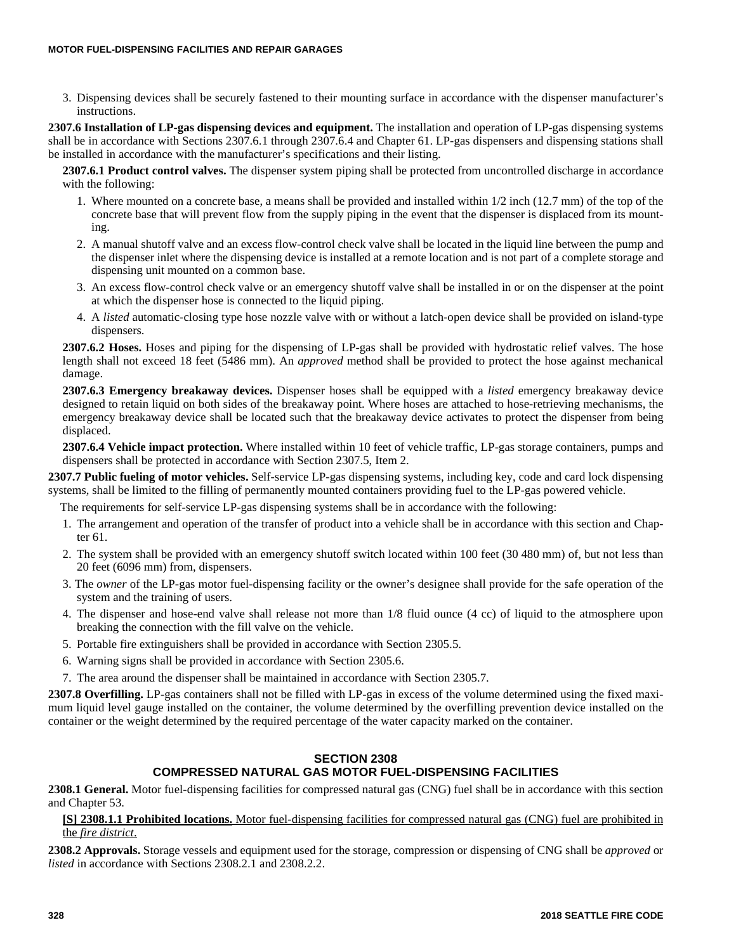3. Dispensing devices shall be securely fastened to their mounting surface in accordance with the dispenser manufacturer's instructions.

**2307.6 Installation of LP-gas dispensing devices and equipment.** The installation and operation of LP-gas dispensing systems shall be in accordance with Sections 2307.6.1 through 2307.6.4 and Chapter 61. LP-gas dispensers and dispensing stations shall be installed in accordance with the manufacturer's specifications and their listing.

**2307.6.1 Product control valves.** The dispenser system piping shall be protected from uncontrolled discharge in accordance with the following:

- 1. Where mounted on a concrete base, a means shall be provided and installed within 1/2 inch (12.7 mm) of the top of the concrete base that will prevent flow from the supply piping in the event that the dispenser is displaced from its mounting.
- 2. A manual shutoff valve and an excess flow-control check valve shall be located in the liquid line between the pump and the dispenser inlet where the dispensing device is installed at a remote location and is not part of a complete storage and dispensing unit mounted on a common base.
- 3. An excess flow-control check valve or an emergency shutoff valve shall be installed in or on the dispenser at the point at which the dispenser hose is connected to the liquid piping.
- 4. A *listed* automatic-closing type hose nozzle valve with or without a latch-open device shall be provided on island-type dispensers.

**2307.6.2 Hoses.** Hoses and piping for the dispensing of LP-gas shall be provided with hydrostatic relief valves. The hose length shall not exceed 18 feet (5486 mm). An *approved* method shall be provided to protect the hose against mechanical damage.

**2307.6.3 Emergency breakaway devices.** Dispenser hoses shall be equipped with a *listed* emergency breakaway device designed to retain liquid on both sides of the breakaway point. Where hoses are attached to hose-retrieving mechanisms, the emergency breakaway device shall be located such that the breakaway device activates to protect the dispenser from being displaced.

**2307.6.4 Vehicle impact protection.** Where installed within 10 feet of vehicle traffic, LP-gas storage containers, pumps and dispensers shall be protected in accordance with Section 2307.5, Item 2.

**2307.7 Public fueling of motor vehicles.** Self-service LP-gas dispensing systems, including key, code and card lock dispensing systems, shall be limited to the filling of permanently mounted containers providing fuel to the LP-gas powered vehicle.

The requirements for self-service LP-gas dispensing systems shall be in accordance with the following:

- 1. The arrangement and operation of the transfer of product into a vehicle shall be in accordance with this section and Chapter 61.
- 2. The system shall be provided with an emergency shutoff switch located within 100 feet (30 480 mm) of, but not less than 20 feet (6096 mm) from, dispensers.
- 3. The *owner* of the LP-gas motor fuel-dispensing facility or the owner's designee shall provide for the safe operation of the system and the training of users.
- 4. The dispenser and hose-end valve shall release not more than 1/8 fluid ounce (4 cc) of liquid to the atmosphere upon breaking the connection with the fill valve on the vehicle.
- 5. Portable fire extinguishers shall be provided in accordance with Section 2305.5.
- 6. Warning signs shall be provided in accordance with Section 2305.6.
- 7. The area around the dispenser shall be maintained in accordance with Section 2305.7.

**2307.8 Overfilling.** LP-gas containers shall not be filled with LP-gas in excess of the volume determined using the fixed maximum liquid level gauge installed on the container, the volume determined by the overfilling prevention device installed on the container or the weight determined by the required percentage of the water capacity marked on the container.

# **SECTION 2308 COMPRESSED NATURAL GAS MOTOR FUEL-DISPENSING FACILITIES**

**2308.1 General.** Motor fuel-dispensing facilities for compressed natural gas (CNG) fuel shall be in accordance with this section and Chapter 53.

### **[S] 2308.1.1 Prohibited locations.** Motor fuel-dispensing facilities for compressed natural gas (CNG) fuel are prohibited in the *fire district*.

**2308.2 Approvals.** Storage vessels and equipment used for the storage, compression or dispensing of CNG shall be *approved* or *listed* in accordance with Sections 2308.2.1 and 2308.2.2.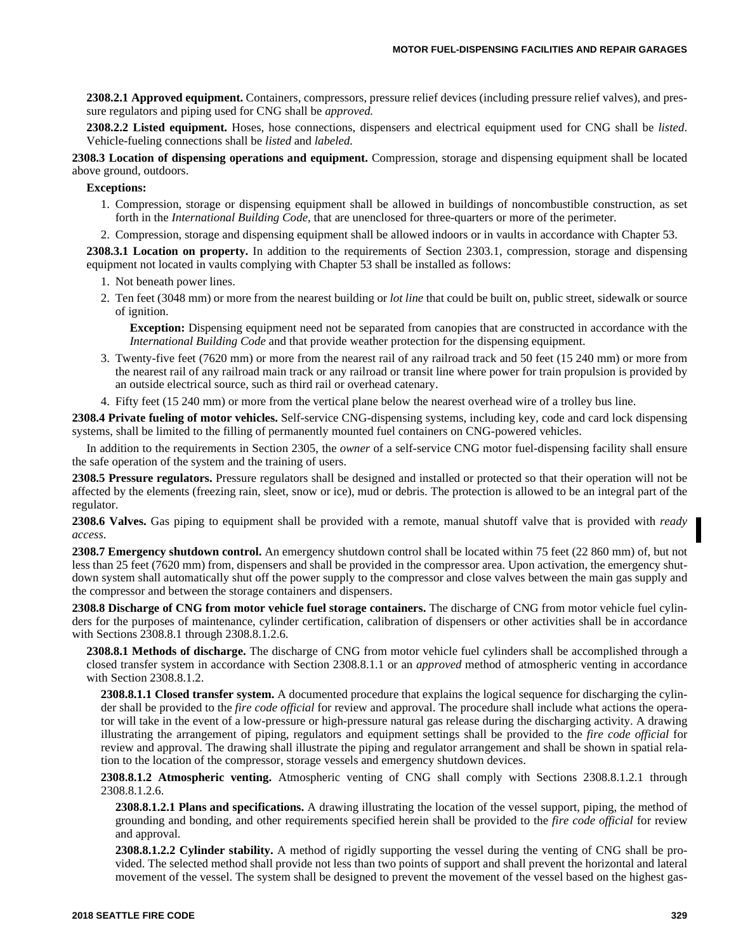**2308.2.1 Approved equipment.** Containers, compressors, pressure relief devices (including pressure relief valves), and pressure regulators and piping used for CNG shall be *approved.*

**2308.2.2 Listed equipment.** Hoses, hose connections, dispensers and electrical equipment used for CNG shall be *listed*. Vehicle-fueling connections shall be *listed* and *labeled.*

**2308.3 Location of dispensing operations and equipment.** Compression, storage and dispensing equipment shall be located above ground, outdoors.

# **Exceptions:**

- 1. Compression, storage or dispensing equipment shall be allowed in buildings of noncombustible construction, as set forth in the *International Building Code*, that are unenclosed for three-quarters or more of the perimeter.
- 2. Compression, storage and dispensing equipment shall be allowed indoors or in vaults in accordance with Chapter 53.

**2308.3.1 Location on property.** In addition to the requirements of Section 2303.1, compression, storage and dispensing equipment not located in vaults complying with Chapter 53 shall be installed as follows:

- 1. Not beneath power lines.
- 2. Ten feet (3048 mm) or more from the nearest building or *lot line* that could be built on, public street, sidewalk or source of ignition.

**Exception:** Dispensing equipment need not be separated from canopies that are constructed in accordance with the *International Building Code* and that provide weather protection for the dispensing equipment.

- 3. Twenty-five feet (7620 mm) or more from the nearest rail of any railroad track and 50 feet (15 240 mm) or more from the nearest rail of any railroad main track or any railroad or transit line where power for train propulsion is provided by an outside electrical source, such as third rail or overhead catenary.
- 4. Fifty feet (15 240 mm) or more from the vertical plane below the nearest overhead wire of a trolley bus line.

**2308.4 Private fueling of motor vehicles.** Self-service CNG-dispensing systems, including key, code and card lock dispensing systems, shall be limited to the filling of permanently mounted fuel containers on CNG-powered vehicles.

In addition to the requirements in Section 2305, the *owner* of a self-service CNG motor fuel-dispensing facility shall ensure the safe operation of the system and the training of users.

**2308.5 Pressure regulators.** Pressure regulators shall be designed and installed or protected so that their operation will not be affected by the elements (freezing rain, sleet, snow or ice), mud or debris. The protection is allowed to be an integral part of the regulator.

**2308.6 Valves.** Gas piping to equipment shall be provided with a remote, manual shutoff valve that is provided with *ready access*.

**2308.7 Emergency shutdown control.** An emergency shutdown control shall be located within 75 feet (22 860 mm) of, but not less than 25 feet (7620 mm) from, dispensers and shall be provided in the compressor area. Upon activation, the emergency shutdown system shall automatically shut off the power supply to the compressor and close valves between the main gas supply and the compressor and between the storage containers and dispensers.

**2308.8 Discharge of CNG from motor vehicle fuel storage containers.** The discharge of CNG from motor vehicle fuel cylinders for the purposes of maintenance, cylinder certification, calibration of dispensers or other activities shall be in accordance with Sections 2308.8.1 through 2308.8.1.2.6.

**2308.8.1 Methods of discharge.** The discharge of CNG from motor vehicle fuel cylinders shall be accomplished through a closed transfer system in accordance with Section 2308.8.1.1 or an *approved* method of atmospheric venting in accordance with Section 2308.8.1.2.

**2308.8.1.1 Closed transfer system.** A documented procedure that explains the logical sequence for discharging the cylinder shall be provided to the *fire code official* for review and approval. The procedure shall include what actions the operator will take in the event of a low-pressure or high-pressure natural gas release during the discharging activity. A drawing illustrating the arrangement of piping, regulators and equipment settings shall be provided to the *fire code official* for review and approval. The drawing shall illustrate the piping and regulator arrangement and shall be shown in spatial relation to the location of the compressor, storage vessels and emergency shutdown devices.

**2308.8.1.2 Atmospheric venting.** Atmospheric venting of CNG shall comply with Sections 2308.8.1.2.1 through 2308.8.1.2.6.

**2308.8.1.2.1 Plans and specifications.** A drawing illustrating the location of the vessel support, piping, the method of grounding and bonding, and other requirements specified herein shall be provided to the *fire code official* for review and approval.

**2308.8.1.2.2 Cylinder stability.** A method of rigidly supporting the vessel during the venting of CNG shall be provided. The selected method shall provide not less than two points of support and shall prevent the horizontal and lateral movement of the vessel. The system shall be designed to prevent the movement of the vessel based on the highest gas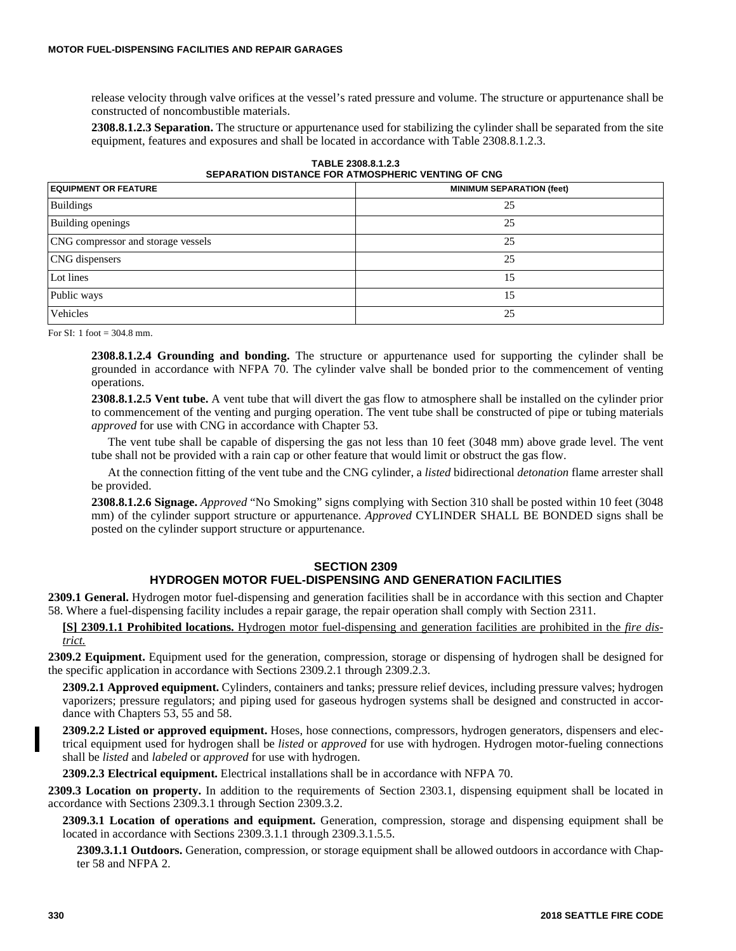release velocity through valve orifices at the vessel's rated pressure and volume. The structure or appurtenance shall be constructed of noncombustible materials.

**2308.8.1.2.3 Separation.** The structure or appurtenance used for stabilizing the cylinder shall be separated from the site equipment, features and exposures and shall be located in accordance with Table 2308.8.1.2.3.

| SEPARATION DISTANCE FOR ATMOSPHERIC VENTING OF CNG |                                  |  |  |  |  |
|----------------------------------------------------|----------------------------------|--|--|--|--|
| <b>EQUIPMENT OR FEATURE</b>                        | <b>MINIMUM SEPARATION (feet)</b> |  |  |  |  |
| <b>Buildings</b>                                   | 25                               |  |  |  |  |
| <b>Building openings</b>                           | 25                               |  |  |  |  |
| CNG compressor and storage vessels                 | 25                               |  |  |  |  |
| CNG dispensers                                     | 25                               |  |  |  |  |
| Lot lines                                          | 15                               |  |  |  |  |
| Public ways                                        | 15                               |  |  |  |  |
| Vehicles                                           | 25                               |  |  |  |  |

| TABLE 2308.8.1.2.3                                 |
|----------------------------------------------------|
| SEPARATION DISTANCE FOR ATMOSPHERIC VENTING OF CNG |

For SI: 1 foot  $= 304.8$  mm.

**2308.8.1.2.4 Grounding and bonding.** The structure or appurtenance used for supporting the cylinder shall be grounded in accordance with NFPA 70. The cylinder valve shall be bonded prior to the commencement of venting operations.

**2308.8.1.2.5 Vent tube.** A vent tube that will divert the gas flow to atmosphere shall be installed on the cylinder prior to commencement of the venting and purging operation. The vent tube shall be constructed of pipe or tubing materials *approved* for use with CNG in accordance with Chapter 53.

The vent tube shall be capable of dispersing the gas not less than 10 feet (3048 mm) above grade level. The vent tube shall not be provided with a rain cap or other feature that would limit or obstruct the gas flow.

At the connection fitting of the vent tube and the CNG cylinder, a *listed* bidirectional *detonation* flame arrester shall be provided.

**2308.8.1.2.6 Signage.** *Approved* "No Smoking" signs complying with Section 310 shall be posted within 10 feet (3048 mm) of the cylinder support structure or appurtenance. *Approved* CYLINDER SHALL BE BONDED signs shall be posted on the cylinder support structure or appurtenance.

#### **SECTION 2309**

# **HYDROGEN MOTOR FUEL-DISPENSING AND GENERATION FACILITIES**

**2309.1 General.** Hydrogen motor fuel-dispensing and generation facilities shall be in accordance with this section and Chapter 58. Where a fuel-dispensing facility includes a repair garage, the repair operation shall comply with Section 2311.

**[S] 2309.1.1 Prohibited locations.** Hydrogen motor fuel-dispensing and generation facilities are prohibited in the *fire district.*

**2309.2 Equipment.** Equipment used for the generation, compression, storage or dispensing of hydrogen shall be designed for the specific application in accordance with Sections 2309.2.1 through 2309.2.3.

**2309.2.1 Approved equipment.** Cylinders, containers and tanks; pressure relief devices, including pressure valves; hydrogen vaporizers; pressure regulators; and piping used for gaseous hydrogen systems shall be designed and constructed in accordance with Chapters 53, 55 and 58.

**2309.2.2 Listed or approved equipment.** Hoses, hose connections, compressors, hydrogen generators, dispensers and electrical equipment used for hydrogen shall be *listed* or *approved* for use with hydrogen. Hydrogen motor-fueling connections shall be *listed* and *labeled* or *approved* for use with hydrogen.

**2309.2.3 Electrical equipment.** Electrical installations shall be in accordance with NFPA 70.

**2309.3 Location on property.** In addition to the requirements of Section 2303.1, dispensing equipment shall be located in accordance with Sections 2309.3.1 through Section 2309.3.2.

**2309.3.1 Location of operations and equipment.** Generation, compression, storage and dispensing equipment shall be located in accordance with Sections 2309.3.1.1 through 2309.3.1.5.5.

**2309.3.1.1 Outdoors.** Generation, compression, or storage equipment shall be allowed outdoors in accordance with Chapter 58 and NFPA 2.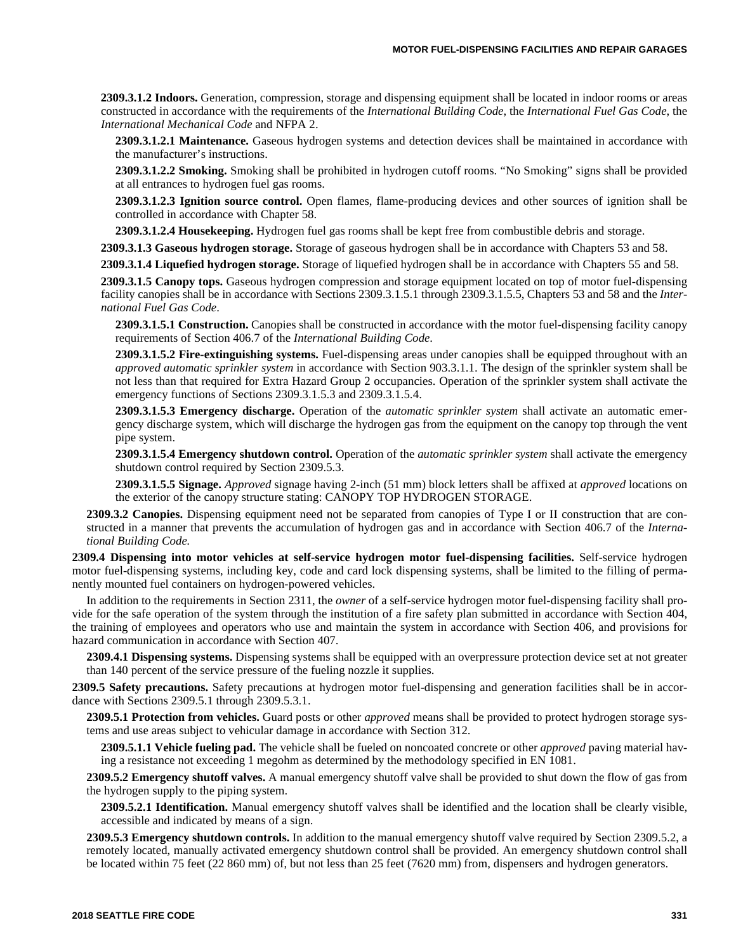**2309.3.1.2 Indoors.** Generation, compression, storage and dispensing equipment shall be located in indoor rooms or areas constructed in accordance with the requirements of the *International Building Code*, the *International Fuel Gas Code*, the *International Mechanical Code* and NFPA 2.

**2309.3.1.2.1 Maintenance.** Gaseous hydrogen systems and detection devices shall be maintained in accordance with the manufacturer's instructions.

**2309.3.1.2.2 Smoking.** Smoking shall be prohibited in hydrogen cutoff rooms. "No Smoking" signs shall be provided at all entrances to hydrogen fuel gas rooms.

**2309.3.1.2.3 Ignition source control.** Open flames, flame-producing devices and other sources of ignition shall be controlled in accordance with Chapter 58.

**2309.3.1.2.4 Housekeeping.** Hydrogen fuel gas rooms shall be kept free from combustible debris and storage.

**2309.3.1.3 Gaseous hydrogen storage.** Storage of gaseous hydrogen shall be in accordance with Chapters 53 and 58.

**2309.3.1.4 Liquefied hydrogen storage.** Storage of liquefied hydrogen shall be in accordance with Chapters 55 and 58.

**2309.3.1.5 Canopy tops.** Gaseous hydrogen compression and storage equipment located on top of motor fuel-dispensing facility canopies shall be in accordance with Sections 2309.3.1.5.1 through 2309.3.1.5.5, Chapters 53 and 58 and the *International Fuel Gas Code*.

**2309.3.1.5.1 Construction.** Canopies shall be constructed in accordance with the motor fuel-dispensing facility canopy requirements of Section 406.7 of the *International Building Code*.

**2309.3.1.5.2 Fire-extinguishing systems.** Fuel-dispensing areas under canopies shall be equipped throughout with an *approved automatic sprinkler system* in accordance with Section 903.3.1.1. The design of the sprinkler system shall be not less than that required for Extra Hazard Group 2 occupancies. Operation of the sprinkler system shall activate the emergency functions of Sections 2309.3.1.5.3 and 2309.3.1.5.4.

**2309.3.1.5.3 Emergency discharge.** Operation of the *automatic sprinkler system* shall activate an automatic emergency discharge system, which will discharge the hydrogen gas from the equipment on the canopy top through the vent pipe system.

**2309.3.1.5.4 Emergency shutdown control.** Operation of the *automatic sprinkler system* shall activate the emergency shutdown control required by Section 2309.5.3.

**2309.3.1.5.5 Signage.** *Approved* signage having 2-inch (51 mm) block letters shall be affixed at *approved* locations on the exterior of the canopy structure stating: CANOPY TOP HYDROGEN STORAGE.

**2309.3.2 Canopies.** Dispensing equipment need not be separated from canopies of Type I or II construction that are constructed in a manner that prevents the accumulation of hydrogen gas and in accordance with Section 406.7 of the *International Building Code.*

**2309.4 Dispensing into motor vehicles at self-service hydrogen motor fuel-dispensing facilities.** Self-service hydrogen motor fuel-dispensing systems, including key, code and card lock dispensing systems, shall be limited to the filling of permanently mounted fuel containers on hydrogen-powered vehicles.

In addition to the requirements in Section 2311, the *owner* of a self-service hydrogen motor fuel-dispensing facility shall provide for the safe operation of the system through the institution of a fire safety plan submitted in accordance with Section 404, the training of employees and operators who use and maintain the system in accordance with Section 406, and provisions for hazard communication in accordance with Section 407.

**2309.4.1 Dispensing systems.** Dispensing systems shall be equipped with an overpressure protection device set at not greater than 140 percent of the service pressure of the fueling nozzle it supplies.

**2309.5 Safety precautions.** Safety precautions at hydrogen motor fuel-dispensing and generation facilities shall be in accordance with Sections 2309.5.1 through 2309.5.3.1.

**2309.5.1 Protection from vehicles.** Guard posts or other *approved* means shall be provided to protect hydrogen storage systems and use areas subject to vehicular damage in accordance with Section 312.

**2309.5.1.1 Vehicle fueling pad.** The vehicle shall be fueled on noncoated concrete or other *approved* paving material having a resistance not exceeding 1 megohm as determined by the methodology specified in EN 1081.

**2309.5.2 Emergency shutoff valves.** A manual emergency shutoff valve shall be provided to shut down the flow of gas from the hydrogen supply to the piping system.

**2309.5.2.1 Identification.** Manual emergency shutoff valves shall be identified and the location shall be clearly visible, accessible and indicated by means of a sign.

**2309.5.3 Emergency shutdown controls.** In addition to the manual emergency shutoff valve required by Section 2309.5.2, a remotely located, manually activated emergency shutdown control shall be provided. An emergency shutdown control shall be located within 75 feet (22 860 mm) of, but not less than 25 feet (7620 mm) from, dispensers and hydrogen generators.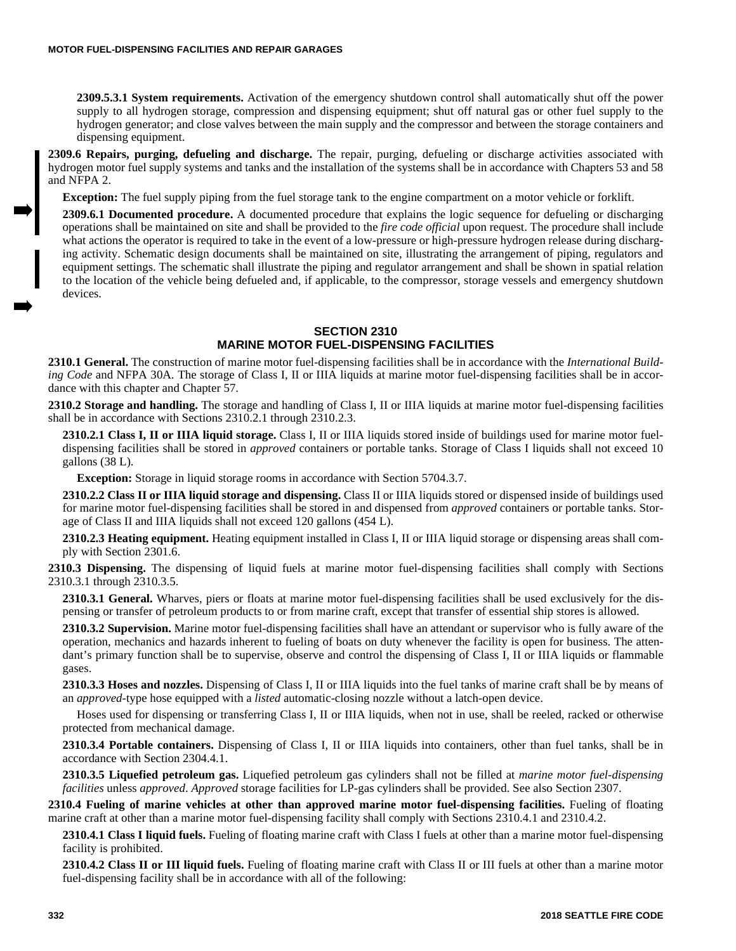**2309.5.3.1 System requirements.** Activation of the emergency shutdown control shall automatically shut off the power supply to all hydrogen storage, compression and dispensing equipment; shut off natural gas or other fuel supply to the hydrogen generator; and close valves between the main supply and the compressor and between the storage containers and dispensing equipment.

**2309.6 Repairs, purging, defueling and discharge.** The repair, purging, defueling or discharge activities associated with hydrogen motor fuel supply systems and tanks and the installation of the systems shall be in accordance with Chapters 53 and 58 and NFPA 2.

**Exception:** The fuel supply piping from the fuel storage tank to the engine compartment on a motor vehicle or forklift.

**2309.6.1 Documented procedure.** A documented procedure that explains the logic sequence for defueling or discharging operations shall be maintained on site and shall be provided to the *fire code official* upon request. The procedure shall include what actions the operator is required to take in the event of a low-pressure or high-pressure hydrogen release during discharging activity. Schematic design documents shall be maintained on site, illustrating the arrangement of piping, regulators and equipment settings. The schematic shall illustrate the piping and regulator arrangement and shall be shown in spatial relation to the location of the vehicle being defueled and, if applicable, to the compressor, storage vessels and emergency shutdown devices.

# **SECTION 2310 MARINE MOTOR FUEL-DISPENSING FACILITIES**

**2310.1 General.** The construction of marine motor fuel-dispensing facilities shall be in accordance with the *International Building Code* and NFPA 30A. The storage of Class I, II or IIIA liquids at marine motor fuel-dispensing facilities shall be in accordance with this chapter and Chapter 57.

**2310.2 Storage and handling.** The storage and handling of Class I, II or IIIA liquids at marine motor fuel-dispensing facilities shall be in accordance with Sections 2310.2.1 through 2310.2.3.

**2310.2.1 Class I, II or IIIA liquid storage.** Class I, II or IIIA liquids stored inside of buildings used for marine motor fueldispensing facilities shall be stored in *approved* containers or portable tanks. Storage of Class I liquids shall not exceed 10 gallons (38 L).

**Exception:** Storage in liquid storage rooms in accordance with Section 5704.3.7.

**2310.2.2 Class II or IIIA liquid storage and dispensing.** Class II or IIIA liquids stored or dispensed inside of buildings used for marine motor fuel-dispensing facilities shall be stored in and dispensed from *approved* containers or portable tanks. Storage of Class II and IIIA liquids shall not exceed 120 gallons (454 L).

**2310.2.3 Heating equipment.** Heating equipment installed in Class I, II or IIIA liquid storage or dispensing areas shall comply with Section 2301.6.

**2310.3 Dispensing.** The dispensing of liquid fuels at marine motor fuel-dispensing facilities shall comply with Sections 2310.3.1 through 2310.3.5.

**2310.3.1 General.** Wharves, piers or floats at marine motor fuel-dispensing facilities shall be used exclusively for the dispensing or transfer of petroleum products to or from marine craft, except that transfer of essential ship stores is allowed.

**2310.3.2 Supervision.** Marine motor fuel-dispensing facilities shall have an attendant or supervisor who is fully aware of the operation, mechanics and hazards inherent to fueling of boats on duty whenever the facility is open for business. The attendant's primary function shall be to supervise, observe and control the dispensing of Class I, II or IIIA liquids or flammable gases.

**2310.3.3 Hoses and nozzles.** Dispensing of Class I, II or IIIA liquids into the fuel tanks of marine craft shall be by means of an *approved*-type hose equipped with a *listed* automatic-closing nozzle without a latch-open device.

Hoses used for dispensing or transferring Class I, II or IIIA liquids, when not in use, shall be reeled, racked or otherwise protected from mechanical damage.

**2310.3.4 Portable containers.** Dispensing of Class I, II or IIIA liquids into containers, other than fuel tanks, shall be in accordance with Section 2304.4.1.

**2310.3.5 Liquefied petroleum gas.** Liquefied petroleum gas cylinders shall not be filled at *marine motor fuel-dispensing facilities* unless *approved*. *Approved* storage facilities for LP-gas cylinders shall be provided. See also Section 2307.

**2310.4 Fueling of marine vehicles at other than approved marine motor fuel-dispensing facilities.** Fueling of floating marine craft at other than a marine motor fuel-dispensing facility shall comply with Sections 2310.4.1 and 2310.4.2.

**2310.4.1 Class I liquid fuels.** Fueling of floating marine craft with Class I fuels at other than a marine motor fuel-dispensing facility is prohibited.

**2310.4.2 Class II or III liquid fuels.** Fueling of floating marine craft with Class II or III fuels at other than a marine motor fuel-dispensing facility shall be in accordance with all of the following: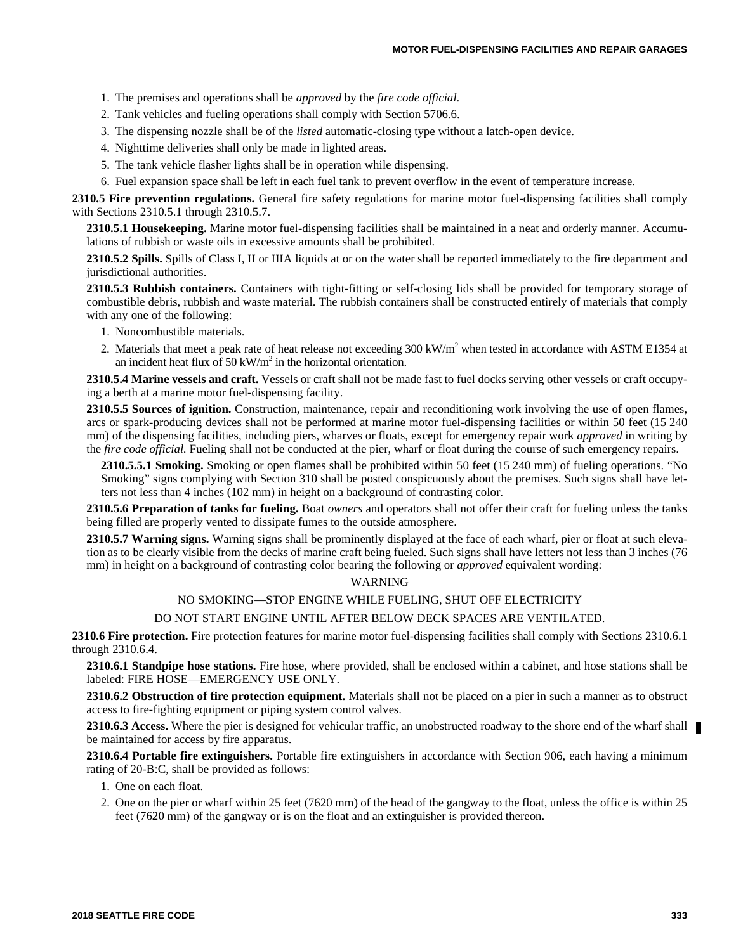- 1. The premises and operations shall be *approved* by the *fire code official*.
- 2. Tank vehicles and fueling operations shall comply with Section 5706.6.
- 3. The dispensing nozzle shall be of the *listed* automatic-closing type without a latch-open device.
- 4. Nighttime deliveries shall only be made in lighted areas.
- 5. The tank vehicle flasher lights shall be in operation while dispensing.
- 6. Fuel expansion space shall be left in each fuel tank to prevent overflow in the event of temperature increase.

**2310.5 Fire prevention regulations.** General fire safety regulations for marine motor fuel-dispensing facilities shall comply with Sections 2310.5.1 through 2310.5.7.

**2310.5.1 Housekeeping.** Marine motor fuel-dispensing facilities shall be maintained in a neat and orderly manner. Accumulations of rubbish or waste oils in excessive amounts shall be prohibited.

**2310.5.2 Spills.** Spills of Class I, II or IIIA liquids at or on the water shall be reported immediately to the fire department and jurisdictional authorities.

**2310.5.3 Rubbish containers.** Containers with tight-fitting or self-closing lids shall be provided for temporary storage of combustible debris, rubbish and waste material. The rubbish containers shall be constructed entirely of materials that comply with any one of the following:

- 1. Noncombustible materials.
- 2. Materials that meet a peak rate of heat release not exceeding 300 kW/m<sup>2</sup> when tested in accordance with ASTM E1354 at an incident heat flux of  $50 \text{ kW/m}^2$  in the horizontal orientation.

**2310.5.4 Marine vessels and craft.** Vessels or craft shall not be made fast to fuel docks serving other vessels or craft occupying a berth at a marine motor fuel-dispensing facility.

**2310.5.5 Sources of ignition.** Construction, maintenance, repair and reconditioning work involving the use of open flames, arcs or spark-producing devices shall not be performed at marine motor fuel-dispensing facilities or within 50 feet (15 240 mm) of the dispensing facilities, including piers, wharves or floats, except for emergency repair work *approved* in writing by the *fire code official.* Fueling shall not be conducted at the pier, wharf or float during the course of such emergency repairs.

**2310.5.5.1 Smoking.** Smoking or open flames shall be prohibited within 50 feet (15 240 mm) of fueling operations. "No Smoking" signs complying with Section 310 shall be posted conspicuously about the premises. Such signs shall have letters not less than 4 inches (102 mm) in height on a background of contrasting color.

**2310.5.6 Preparation of tanks for fueling.** Boat *owners* and operators shall not offer their craft for fueling unless the tanks being filled are properly vented to dissipate fumes to the outside atmosphere.

**2310.5.7 Warning signs.** Warning signs shall be prominently displayed at the face of each wharf, pier or float at such elevation as to be clearly visible from the decks of marine craft being fueled. Such signs shall have letters not less than 3 inches (76 mm) in height on a background of contrasting color bearing the following or *approved* equivalent wording:

# WARNING

#### NO SMOKING—STOP ENGINE WHILE FUELING, SHUT OFF ELECTRICITY

#### DO NOT START ENGINE UNTIL AFTER BELOW DECK SPACES ARE VENTILATED.

**2310.6 Fire protection.** Fire protection features for marine motor fuel-dispensing facilities shall comply with Sections 2310.6.1 through 2310.6.4.

**2310.6.1 Standpipe hose stations.** Fire hose, where provided, shall be enclosed within a cabinet, and hose stations shall be labeled: FIRE HOSE—EMERGENCY USE ONLY.

**2310.6.2 Obstruction of fire protection equipment.** Materials shall not be placed on a pier in such a manner as to obstruct access to fire-fighting equipment or piping system control valves.

**2310.6.3 Access.** Where the pier is designed for vehicular traffic, an unobstructed roadway to the shore end of the wharf shall be maintained for access by fire apparatus.

**2310.6.4 Portable fire extinguishers.** Portable fire extinguishers in accordance with Section 906, each having a minimum rating of 20-B:C, shall be provided as follows:

1. One on each float.

2. One on the pier or wharf within 25 feet (7620 mm) of the head of the gangway to the float, unless the office is within 25 feet (7620 mm) of the gangway or is on the float and an extinguisher is provided thereon.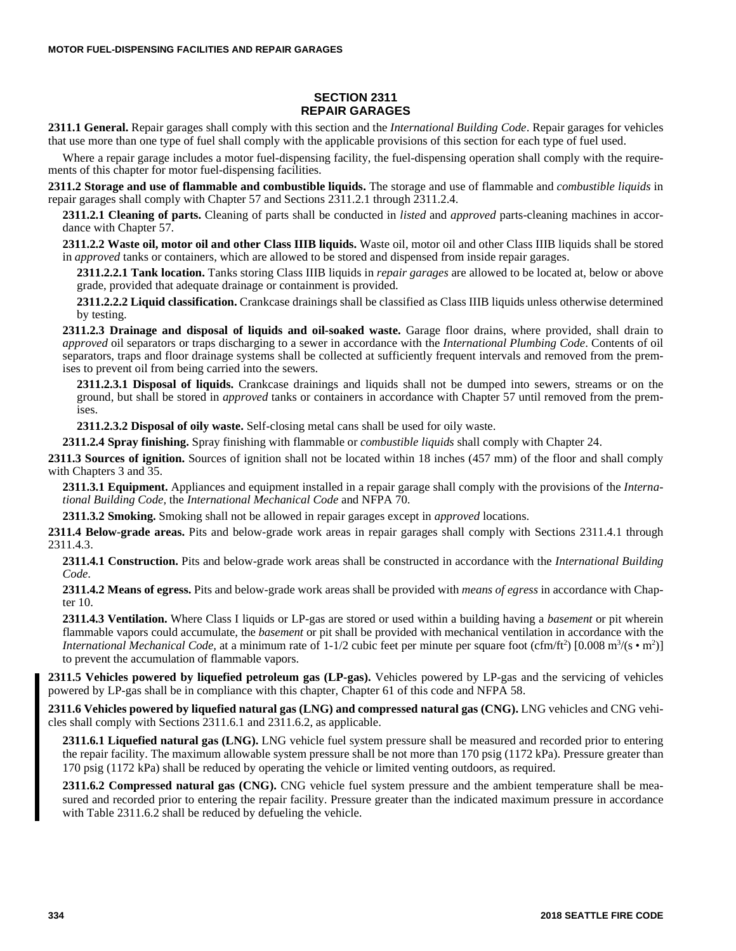# **SECTION 2311 REPAIR GARAGES**

**2311.1 General.** Repair garages shall comply with this section and the *International Building Code*. Repair garages for vehicles that use more than one type of fuel shall comply with the applicable provisions of this section for each type of fuel used.

Where a repair garage includes a motor fuel-dispensing facility, the fuel-dispensing operation shall comply with the requirements of this chapter for motor fuel-dispensing facilities.

**2311.2 Storage and use of flammable and combustible liquids.** The storage and use of flammable and *combustible liquids* in repair garages shall comply with Chapter 57 and Sections 2311.2.1 through 2311.2.4.

**2311.2.1 Cleaning of parts.** Cleaning of parts shall be conducted in *listed* and *approved* parts-cleaning machines in accordance with Chapter 57.

**2311.2.2 Waste oil, motor oil and other Class IIIB liquids.** Waste oil, motor oil and other Class IIIB liquids shall be stored in *approved* tanks or containers, which are allowed to be stored and dispensed from inside repair garages.

**2311.2.2.1 Tank location.** Tanks storing Class IIIB liquids in *repair garages* are allowed to be located at, below or above grade, provided that adequate drainage or containment is provided.

**2311.2.2.2 Liquid classification.** Crankcase drainings shall be classified as Class IIIB liquids unless otherwise determined by testing.

**2311.2.3 Drainage and disposal of liquids and oil-soaked waste.** Garage floor drains, where provided, shall drain to *approved* oil separators or traps discharging to a sewer in accordance with the *International Plumbing Code*. Contents of oil separators, traps and floor drainage systems shall be collected at sufficiently frequent intervals and removed from the premises to prevent oil from being carried into the sewers.

**2311.2.3.1 Disposal of liquids.** Crankcase drainings and liquids shall not be dumped into sewers, streams or on the ground, but shall be stored in *approved* tanks or containers in accordance with Chapter 57 until removed from the premises.

**2311.2.3.2 Disposal of oily waste.** Self-closing metal cans shall be used for oily waste.

**2311.2.4 Spray finishing.** Spray finishing with flammable or *combustible liquids* shall comply with Chapter 24.

**2311.3 Sources of ignition.** Sources of ignition shall not be located within 18 inches (457 mm) of the floor and shall comply with Chapters 3 and 35.

**2311.3.1 Equipment.** Appliances and equipment installed in a repair garage shall comply with the provisions of the *International Building Code,* the *International Mechanical Code* and NFPA 70*.*

**2311.3.2 Smoking.** Smoking shall not be allowed in repair garages except in *approved* locations.

**2311.4 Below-grade areas.** Pits and below-grade work areas in repair garages shall comply with Sections 2311.4.1 through 2311.4.3.

**2311.4.1 Construction.** Pits and below-grade work areas shall be constructed in accordance with the *International Building Code*.

**2311.4.2 Means of egress.** Pits and below-grade work areas shall be provided with *means of egress* in accordance with Chapter 10.

**2311.4.3 Ventilation.** Where Class I liquids or LP-gas are stored or used within a building having a *basement* or pit wherein flammable vapors could accumulate, the *basement* or pit shall be provided with mechanical ventilation in accordance with the *International Mechanical Code*, at a minimum rate of 1-1/2 cubic feet per minute per square foot (cfm/ft<sup>2</sup>) [0.008 m<sup>3</sup>/(s • m<sup>2</sup>)] to prevent the accumulation of flammable vapors.

**2311.5 Vehicles powered by liquefied petroleum gas (LP-gas).** Vehicles powered by LP-gas and the servicing of vehicles powered by LP-gas shall be in compliance with this chapter, Chapter 61 of this code and NFPA 58.

**2311.6 Vehicles powered by liquefied natural gas (LNG) and compressed natural gas (CNG).** LNG vehicles and CNG vehicles shall comply with Sections 2311.6.1 and 2311.6.2, as applicable.

**2311.6.1 Liquefied natural gas (LNG).** LNG vehicle fuel system pressure shall be measured and recorded prior to entering the repair facility. The maximum allowable system pressure shall be not more than 170 psig (1172 kPa). Pressure greater than 170 psig (1172 kPa) shall be reduced by operating the vehicle or limited venting outdoors, as required.

**2311.6.2 Compressed natural gas (CNG).** CNG vehicle fuel system pressure and the ambient temperature shall be measured and recorded prior to entering the repair facility. Pressure greater than the indicated maximum pressure in accordance with Table 2311.6.2 shall be reduced by defueling the vehicle.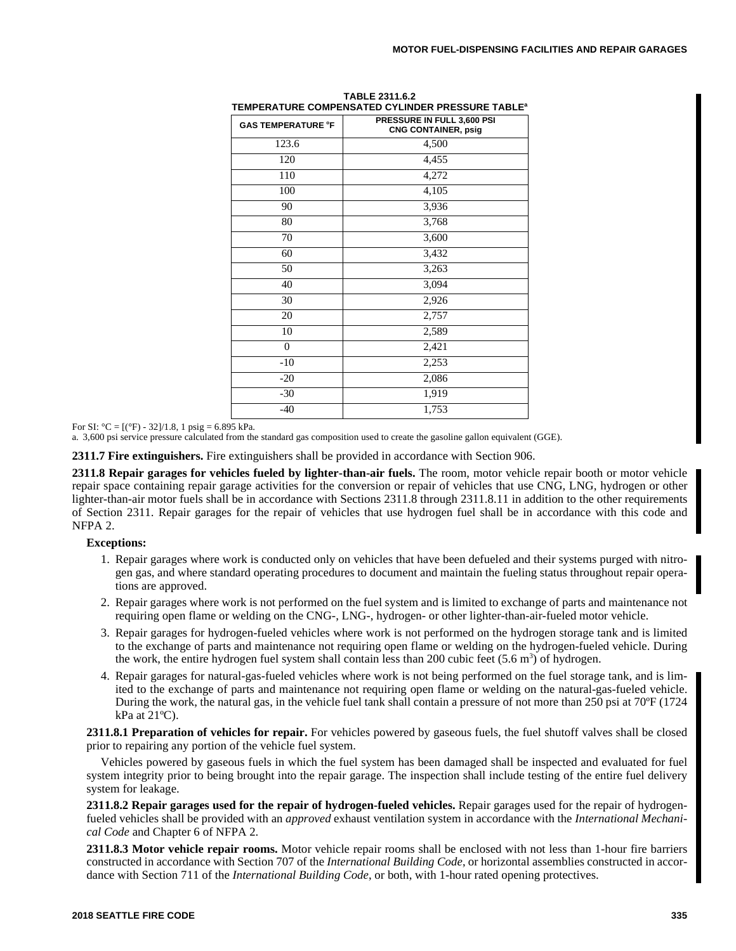| <b>GAS TEMPERATURE °F</b> | PRESSURE IN FULL 3,600 PSI<br><b>CNG CONTAINER, psig</b> |
|---------------------------|----------------------------------------------------------|
| 123.6                     | 4,500                                                    |
| 120                       | 4,455                                                    |
| 110                       | 4,272                                                    |
| 100                       | 4,105                                                    |
| 90                        | 3,936                                                    |
| 80                        | 3,768                                                    |
| 70                        | 3,600                                                    |
| 60                        | 3,432                                                    |
| 50                        | 3,263                                                    |
| 40                        | 3,094                                                    |
| 30                        | 2,926                                                    |
| 20                        | 2,757                                                    |
| 10                        | 2,589                                                    |
| $\overline{0}$            | 2,421                                                    |
| $-10$                     | 2,253                                                    |
| $-20$                     | 2,086                                                    |
| $-30$                     | 1,919                                                    |
| $-40$                     | 1,753                                                    |

| <b>TABLE 2311.6.2</b>                                        |  |  |  |  |  |  |  |
|--------------------------------------------------------------|--|--|--|--|--|--|--|
| TEMPERATURE COMPENSATED CYLINDER PRESSURE TABLE <sup>®</sup> |  |  |  |  |  |  |  |

For SI:  $^{\circ}C = [(^{\circ}F) - 32]/1.8$ , 1 psig = 6.895 kPa.

a. 3,600 psi service pressure calculated from the standard gas composition used to create the gasoline gallon equivalent (GGE).

**2311.7 Fire extinguishers.** Fire extinguishers shall be provided in accordance with Section 906.

**2311.8 Repair garages for vehicles fueled by lighter-than-air fuels.** The room, motor vehicle repair booth or motor vehicle repair space containing repair garage activities for the conversion or repair of vehicles that use CNG, LNG, hydrogen or other lighter-than-air motor fuels shall be in accordance with Sections 2311.8 through 2311.8.11 in addition to the other requirements of Section 2311. Repair garages for the repair of vehicles that use hydrogen fuel shall be in accordance with this code and NFPA 2.

#### **Exceptions:**

- 1. Repair garages where work is conducted only on vehicles that have been defueled and their systems purged with nitrogen gas, and where standard operating procedures to document and maintain the fueling status throughout repair operations are approved.
- 2. Repair garages where work is not performed on the fuel system and is limited to exchange of parts and maintenance not requiring open flame or welding on the CNG-, LNG-, hydrogen- or other lighter-than-air-fueled motor vehicle.
- 3. Repair garages for hydrogen-fueled vehicles where work is not performed on the hydrogen storage tank and is limited to the exchange of parts and maintenance not requiring open flame or welding on the hydrogen-fueled vehicle. During the work, the entire hydrogen fuel system shall contain less than 200 cubic feet  $(5.6 \text{ m}^3)$  of hydrogen.
- 4. Repair garages for natural-gas-fueled vehicles where work is not being performed on the fuel storage tank, and is limited to the exchange of parts and maintenance not requiring open flame or welding on the natural-gas-fueled vehicle. During the work, the natural gas, in the vehicle fuel tank shall contain a pressure of not more than 250 psi at 70ºF (1724  $kPa$  at  $21^{\circ}$ C).

**2311.8.1 Preparation of vehicles for repair.** For vehicles powered by gaseous fuels, the fuel shutoff valves shall be closed prior to repairing any portion of the vehicle fuel system.

Vehicles powered by gaseous fuels in which the fuel system has been damaged shall be inspected and evaluated for fuel system integrity prior to being brought into the repair garage. The inspection shall include testing of the entire fuel delivery system for leakage.

**2311.8.2 Repair garages used for the repair of hydrogen-fueled vehicles.** Repair garages used for the repair of hydrogenfueled vehicles shall be provided with an *approved* exhaust ventilation system in accordance with the *International Mechanical Code* and Chapter 6 of NFPA 2.

**2311.8.3 Motor vehicle repair rooms.** Motor vehicle repair rooms shall be enclosed with not less than 1-hour fire barriers constructed in accordance with Section 707 of the *International Building Code*, or horizontal assemblies constructed in accordance with Section 711 of the *International Building Code*, or both, with 1-hour rated opening protectives.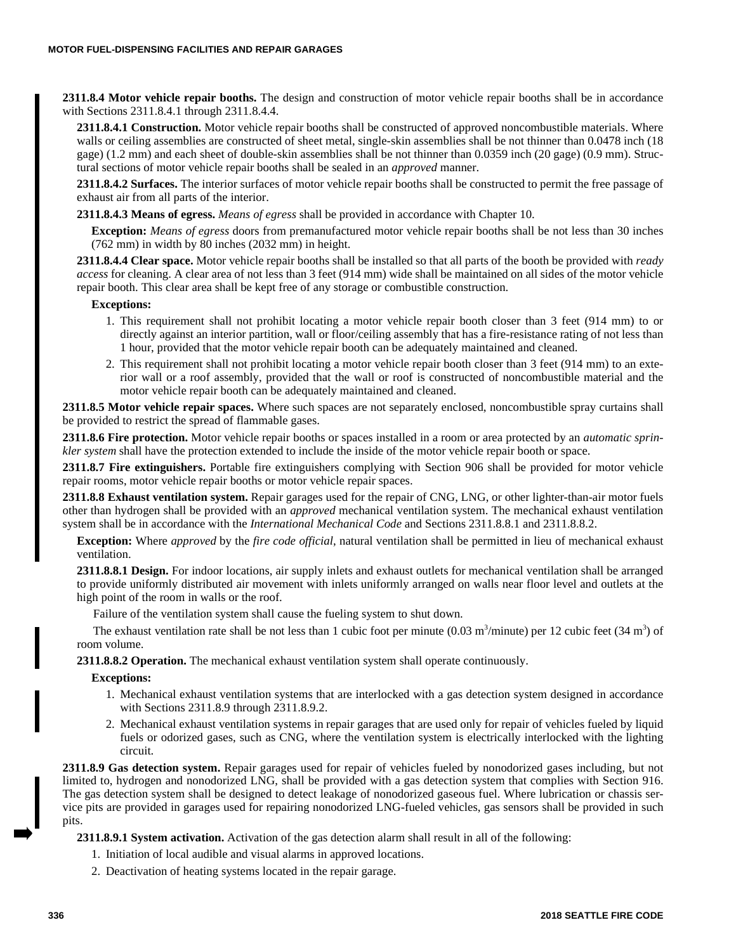**2311.8.4 Motor vehicle repair booths.** The design and construction of motor vehicle repair booths shall be in accordance with Sections 2311.8.4.1 through 2311.8.4.4.

**2311.8.4.1 Construction.** Motor vehicle repair booths shall be constructed of approved noncombustible materials. Where walls or ceiling assemblies are constructed of sheet metal, single-skin assemblies shall be not thinner than 0.0478 inch (18) gage) (1.2 mm) and each sheet of double-skin assemblies shall be not thinner than 0.0359 inch (20 gage) (0.9 mm). Structural sections of motor vehicle repair booths shall be sealed in an *approved* manner.

**2311.8.4.2 Surfaces.** The interior surfaces of motor vehicle repair booths shall be constructed to permit the free passage of exhaust air from all parts of the interior.

**2311.8.4.3 Means of egress.** *Means of egress* shall be provided in accordance with Chapter 10.

**Exception:** *Means of egress* doors from premanufactured motor vehicle repair booths shall be not less than 30 inches (762 mm) in width by 80 inches (2032 mm) in height.

**2311.8.4.4 Clear space.** Motor vehicle repair booths shall be installed so that all parts of the booth be provided with *ready access* for cleaning. A clear area of not less than 3 feet (914 mm) wide shall be maintained on all sides of the motor vehicle repair booth. This clear area shall be kept free of any storage or combustible construction.

#### **Exceptions:**

- 1. This requirement shall not prohibit locating a motor vehicle repair booth closer than 3 feet (914 mm) to or directly against an interior partition, wall or floor/ceiling assembly that has a fire-resistance rating of not less than 1 hour, provided that the motor vehicle repair booth can be adequately maintained and cleaned.
- 2. This requirement shall not prohibit locating a motor vehicle repair booth closer than 3 feet (914 mm) to an exterior wall or a roof assembly, provided that the wall or roof is constructed of noncombustible material and the motor vehicle repair booth can be adequately maintained and cleaned.

**2311.8.5 Motor vehicle repair spaces.** Where such spaces are not separately enclosed, noncombustible spray curtains shall be provided to restrict the spread of flammable gases.

**2311.8.6 Fire protection.** Motor vehicle repair booths or spaces installed in a room or area protected by an *automatic sprinkler system* shall have the protection extended to include the inside of the motor vehicle repair booth or space.

**2311.8.7 Fire extinguishers.** Portable fire extinguishers complying with Section 906 shall be provided for motor vehicle repair rooms, motor vehicle repair booths or motor vehicle repair spaces.

**2311.8.8 Exhaust ventilation system.** Repair garages used for the repair of CNG, LNG, or other lighter-than-air motor fuels other than hydrogen shall be provided with an *approved* mechanical ventilation system. The mechanical exhaust ventilation system shall be in accordance with the *International Mechanical Code* and Sections 2311.8.8.1 and 2311.8.8.2.

**Exception:** Where *approved* by the *fire code official*, natural ventilation shall be permitted in lieu of mechanical exhaust ventilation.

**2311.8.8.1 Design.** For indoor locations, air supply inlets and exhaust outlets for mechanical ventilation shall be arranged to provide uniformly distributed air movement with inlets uniformly arranged on walls near floor level and outlets at the high point of the room in walls or the roof.

Failure of the ventilation system shall cause the fueling system to shut down.

The exhaust ventilation rate shall be not less than 1 cubic foot per minute  $(0.03 \text{ m}^3/\text{minute})$  per 12 cubic feet  $(34 \text{ m}^3)$  of room volume.

**2311.8.8.2 Operation.** The mechanical exhaust ventilation system shall operate continuously.

**Exceptions:**

- 1. Mechanical exhaust ventilation systems that are interlocked with a gas detection system designed in accordance with Sections 2311.8.9 through 2311.8.9.2.
- 2. Mechanical exhaust ventilation systems in repair garages that are used only for repair of vehicles fueled by liquid fuels or odorized gases, such as CNG, where the ventilation system is electrically interlocked with the lighting circuit.

**2311.8.9 Gas detection system.** Repair garages used for repair of vehicles fueled by nonodorized gases including, but not limited to, hydrogen and nonodorized LNG, shall be provided with a gas detection system that complies with Section 916. The gas detection system shall be designed to detect leakage of nonodorized gaseous fuel. Where lubrication or chassis service pits are provided in garages used for repairing nonodorized LNG-fueled vehicles, gas sensors shall be provided in such pits.

**2311.8.9.1 System activation.** Activation of the gas detection alarm shall result in all of the following:

- 1. Initiation of local audible and visual alarms in approved locations.
- 2. Deactivation of heating systems located in the repair garage.